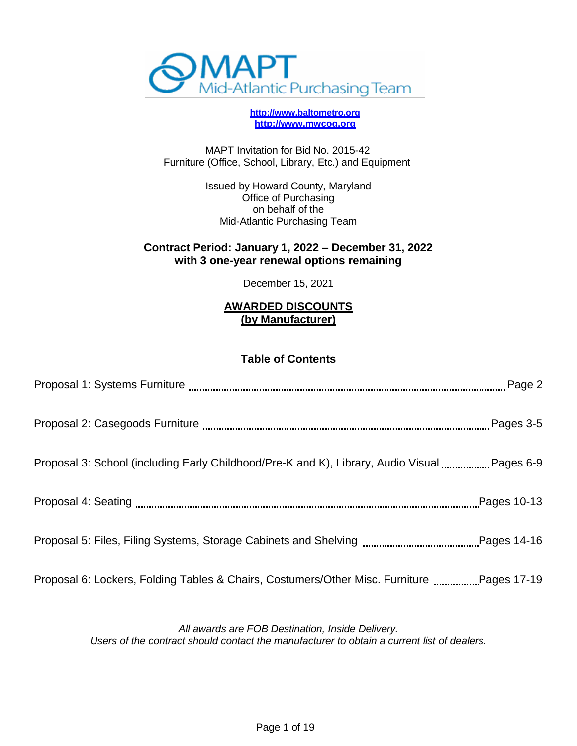

**[http://www.baltometro.org](http://www.baltometro.org/) [http://www.mwcog.org](http://www.mwcog.org/)**

MAPT Invitation for Bid No. 2015-42 Furniture (Office, School, Library, Etc.) and Equipment

> Issued by Howard County, Maryland Office of Purchasing on behalf of the Mid-Atlantic Purchasing Team

#### **Contract Period: January 1, 2022 – December 31, 2022 with 3 one-year renewal options remaining**

December 15, 2021

#### **AWARDED DISCOUNTS (by Manufacturer)**

#### **Table of Contents**

| Proposal 6: Lockers, Folding Tables & Chairs, Costumers/Other Misc. Furniture Pages 17-19 |  |
|-------------------------------------------------------------------------------------------|--|

*All awards are FOB Destination, Inside Delivery. Users of the contract should contact the manufacturer to obtain a current list of dealers.*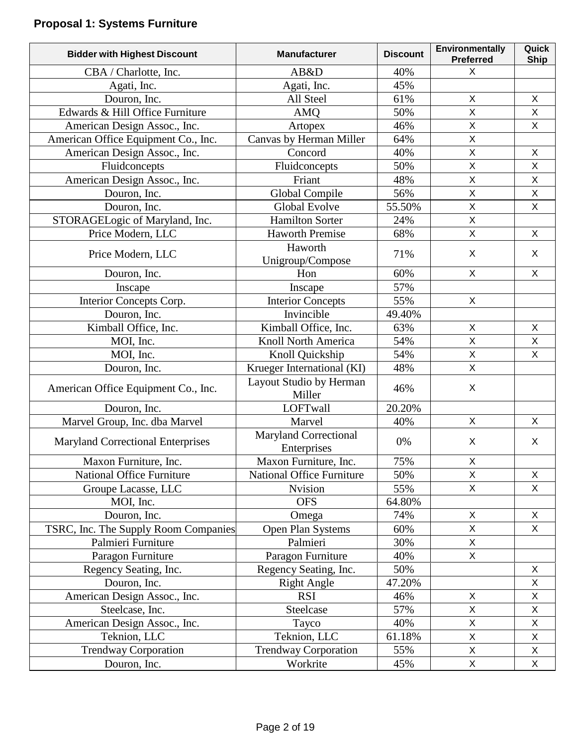# **Proposal 1: Systems Furniture**

| <b>Bidder with Highest Discount</b>      | <b>Manufacturer</b>                         | <b>Discount</b> | Environmentally<br><b>Preferred</b> | Quick<br><b>Ship</b>      |
|------------------------------------------|---------------------------------------------|-----------------|-------------------------------------|---------------------------|
| CBA / Charlotte, Inc.                    | AB&D                                        | 40%             | X                                   |                           |
| Agati, Inc.                              | Agati, Inc.                                 | 45%             |                                     |                           |
| Douron, Inc.                             | All Steel                                   | 61%             | X                                   | X                         |
| Edwards & Hill Office Furniture          | <b>AMQ</b>                                  | 50%             | X                                   | X                         |
| American Design Assoc., Inc.             | Artopex                                     | 46%             | X                                   | $\mathsf X$               |
| American Office Equipment Co., Inc.      | Canvas by Herman Miller                     | 64%             | X                                   |                           |
| American Design Assoc., Inc.             | Concord                                     | 40%             | X                                   | $\pmb{\times}$            |
| Fluidconcepts                            | Fluidconcepts                               | 50%             | X                                   | $\mathsf X$               |
| American Design Assoc., Inc.             | Friant                                      | 48%             | X                                   | $\pmb{\times}$            |
| Douron, Inc.                             | Global Compile                              | 56%             | X                                   | $\mathsf X$               |
| Douron, Inc.                             | Global Evolve                               | 55.50%          | $\overline{\mathsf{X}}$             | $\mathsf X$               |
| STORAGELogic of Maryland, Inc.           | <b>Hamilton Sorter</b>                      | 24%             | X                                   |                           |
| Price Modern, LLC                        | <b>Haworth Premise</b>                      | 68%             | X                                   | $\mathsf{X}$              |
| Price Modern, LLC                        | Haworth                                     | 71%             | X                                   | X                         |
|                                          | Unigroup/Compose                            |                 |                                     |                           |
| Douron, Inc.                             | Hon                                         | 60%             | $\sf X$                             | X                         |
| Inscape                                  | Inscape                                     | 57%             |                                     |                           |
| Interior Concepts Corp.                  | <b>Interior Concepts</b>                    | 55%             | X                                   |                           |
| Douron, Inc.                             | Invincible                                  | 49.40%          |                                     |                           |
| Kimball Office, Inc.                     | Kimball Office, Inc.                        | 63%             | X                                   | $\mathsf X$               |
| MOI, Inc.                                | Knoll North America                         | 54%             | X                                   | $\boldsymbol{\mathsf{X}}$ |
| MOI, Inc.                                | Knoll Quickship                             | 54%             | X                                   | $\mathsf X$               |
| Douron, Inc.                             | Krueger International (KI)                  | 48%             | X                                   |                           |
| American Office Equipment Co., Inc.      | Layout Studio by Herman<br>Miller           | 46%             | X                                   |                           |
| Douron, Inc.                             | <b>LOFTwall</b>                             | 20.20%          |                                     |                           |
| Marvel Group, Inc. dba Marvel            | Marvel                                      | 40%             | X                                   | X                         |
| <b>Maryland Correctional Enterprises</b> | <b>Maryland Correctional</b><br>Enterprises | 0%              | X                                   | X                         |
| Maxon Furniture, Inc.                    | Maxon Furniture, Inc.                       | 75%             | X                                   |                           |
| <b>National Office Furniture</b>         | <b>National Office Furniture</b>            | 50%             | X                                   | X                         |
| Groupe Lacasse, LLC                      | Nvision                                     | 55%             | $\mathsf{X}$                        | X                         |
| MOI, Inc.                                | <b>OFS</b>                                  | 64.80%          |                                     |                           |
| Douron, Inc.                             | Omega                                       | 74%             | $\mathsf{X}$                        | $\mathsf{X}$              |
| TSRC, Inc. The Supply Room Companies     | Open Plan Systems                           | 60%             | $\overline{X}$                      | $\mathsf{X}$              |
| Palmieri Furniture                       | Palmieri                                    | 30%             | X                                   |                           |
| Paragon Furniture                        | Paragon Furniture                           | 40%             | X                                   |                           |
| Regency Seating, Inc.                    | Regency Seating, Inc.                       | 50%             |                                     | X                         |
| Douron, Inc.                             | <b>Right Angle</b>                          | 47.20%          |                                     | $\boldsymbol{\mathsf{X}}$ |
| American Design Assoc., Inc.             | <b>RSI</b>                                  | 46%             | Χ                                   | X                         |
| Steelcase, Inc.                          | Steelcase                                   | 57%             | X                                   | $\mathsf X$               |
| American Design Assoc., Inc.             | Tayco                                       | 40%             | Χ                                   | $\mathsf X$               |
| Teknion, LLC                             | Teknion, LLC                                | 61.18%          | X                                   | $\mathsf X$               |
| <b>Trendway Corporation</b>              | <b>Trendway Corporation</b>                 | 55%             | X                                   | $\pmb{\times}$            |
| Douron, Inc.                             | Workrite                                    | 45%             | $\mathsf{X}$                        | X                         |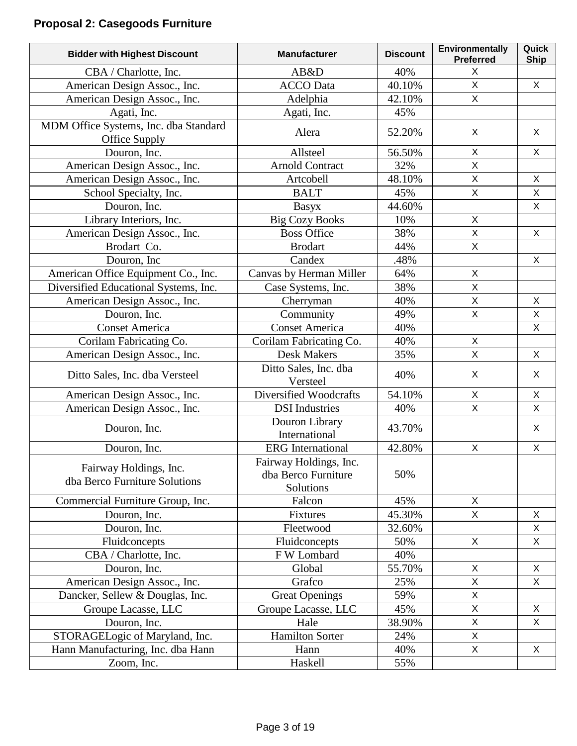# **Proposal 2: Casegoods Furniture**

| <b>Bidder with Highest Discount</b>                     | <b>Manufacturer</b>                                        | <b>Discount</b> | Environmentally<br><b>Preferred</b> | Quick<br><b>Ship</b> |
|---------------------------------------------------------|------------------------------------------------------------|-----------------|-------------------------------------|----------------------|
| CBA / Charlotte, Inc.                                   | AB&D                                                       | 40%             | X                                   |                      |
| American Design Assoc., Inc.                            | <b>ACCO</b> Data                                           | 40.10%          | X                                   | X                    |
| American Design Assoc., Inc.                            | Adelphia                                                   | 42.10%          | X                                   |                      |
| Agati, Inc.                                             | Agati, Inc.                                                | 45%             |                                     |                      |
| MDM Office Systems, Inc. dba Standard<br>Office Supply  | Alera                                                      | 52.20%          | X                                   | X                    |
| Douron, Inc.                                            | Allsteel                                                   | 56.50%          | X                                   | X                    |
| American Design Assoc., Inc.                            | <b>Arnold Contract</b>                                     | 32%             | X                                   |                      |
| American Design Assoc., Inc.                            | Artcobell                                                  | 48.10%          | X                                   | $\mathsf{X}$         |
| School Specialty, Inc.                                  | <b>BALT</b>                                                | 45%             | X                                   | X                    |
| Douron, Inc.                                            | Basyx                                                      | 44.60%          |                                     | $\mathsf{X}$         |
| Library Interiors, Inc.                                 | <b>Big Cozy Books</b>                                      | 10%             | X                                   |                      |
| American Design Assoc., Inc.                            | <b>Boss Office</b>                                         | 38%             | $\mathsf{X}$                        | $\mathsf{X}$         |
| Brodart Co.                                             | <b>Brodart</b>                                             | 44%             | $\mathsf{X}$                        |                      |
| Douron, Inc.                                            | Candex                                                     | .48%            |                                     | X                    |
| American Office Equipment Co., Inc.                     | Canvas by Herman Miller                                    | 64%             | $\mathsf{X}$                        |                      |
| Diversified Educational Systems, Inc.                   | Case Systems, Inc.                                         | 38%             | X                                   |                      |
| American Design Assoc., Inc.                            | Cherryman                                                  | 40%             | X                                   | X                    |
| Douron, Inc.                                            | Community                                                  | 49%             | X                                   | X                    |
| <b>Conset America</b>                                   | <b>Conset America</b>                                      | 40%             |                                     | X                    |
| Corilam Fabricating Co.                                 | Corilam Fabricating Co.                                    | 40%             | $\mathsf{X}$                        |                      |
| American Design Assoc., Inc.                            | <b>Desk Makers</b>                                         | 35%             | $\overline{X}$                      | X                    |
| Ditto Sales, Inc. dba Versteel                          | Ditto Sales, Inc. dba<br>Versteel                          | 40%             | X                                   | X                    |
| American Design Assoc., Inc.                            | Diversified Woodcrafts                                     | 54.10%          | X                                   | $\mathsf{X}$         |
| American Design Assoc., Inc.                            | <b>DSI</b> Industries                                      | 40%             | X                                   | X                    |
| Douron, Inc.                                            | Douron Library<br>International                            | 43.70%          |                                     | $\mathsf{X}$         |
| Douron, Inc.                                            | <b>ERG</b> International                                   | 42.80%          | $\mathsf{X}$                        | $\mathsf{X}$         |
| Fairway Holdings, Inc.<br>dba Berco Furniture Solutions | Fairway Holdings, Inc.<br>dba Berco Furniture<br>Solutions | 50%             |                                     |                      |
| Commercial Furniture Group, Inc.                        | Falcon                                                     | 45%             | $\mathsf{X}$                        |                      |
| Douron, Inc.                                            | <b>Fixtures</b>                                            | 45.30%          | $\mathsf{X}$                        | X                    |
| Douron, Inc.                                            | Fleetwood                                                  | 32.60%          |                                     | X                    |
| Fluidconcepts                                           | Fluidconcepts                                              | 50%             | $\mathsf{X}$                        | X                    |
| CBA / Charlotte, Inc.                                   | F W Lombard                                                | 40%             |                                     |                      |
| Douron, Inc.                                            | Global                                                     | 55.70%          | X                                   | X                    |
| American Design Assoc., Inc.                            | Grafco                                                     | 25%             | X                                   | X                    |
| Dancker, Sellew & Douglas, Inc.                         | <b>Great Openings</b>                                      | 59%             | X                                   |                      |
| Groupe Lacasse, LLC                                     | Groupe Lacasse, LLC                                        | 45%             | X                                   | X                    |
| Douron, Inc.                                            | Hale                                                       | 38.90%          | X                                   | X                    |
| STORAGELogic of Maryland, Inc.                          | <b>Hamilton Sorter</b>                                     | 24%             | X                                   |                      |
| Hann Manufacturing, Inc. dba Hann                       | Hann                                                       | 40%             | X                                   | X                    |
| Zoom, Inc.                                              | Haskell                                                    | 55%             |                                     |                      |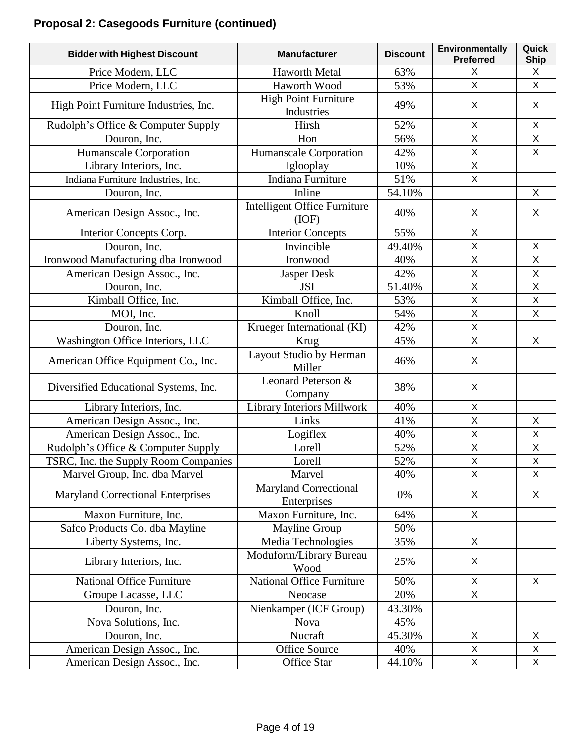# **Proposal 2: Casegoods Furniture (continued)**

| <b>Bidder with Highest Discount</b>      | <b>Manufacturer</b>                              | <b>Discount</b> | Environmentally<br><b>Preferred</b> | Quick<br><b>Ship</b> |
|------------------------------------------|--------------------------------------------------|-----------------|-------------------------------------|----------------------|
| Price Modern, LLC                        | <b>Haworth Metal</b>                             | 63%             | X                                   | X                    |
| Price Modern, LLC                        | Haworth Wood                                     | 53%             | X                                   | X                    |
| High Point Furniture Industries, Inc.    | <b>High Point Furniture</b><br><b>Industries</b> | 49%             | X                                   | X                    |
| Rudolph's Office & Computer Supply       | Hirsh                                            | 52%             | X                                   | $\mathsf{X}$         |
| Douron, Inc.                             | Hon                                              | 56%             | $\mathsf{X}$                        | $\mathsf X$          |
| Humanscale Corporation                   | Humanscale Corporation                           | 42%             | X                                   | X                    |
| Library Interiors, Inc.                  | Iglooplay                                        | 10%             | $\mathsf{X}$                        |                      |
| Indiana Furniture Industries, Inc.       | Indiana Furniture                                | 51%             | X                                   |                      |
| Douron, Inc.                             | Inline                                           | 54.10%          |                                     | X                    |
| American Design Assoc., Inc.             | <b>Intelligent Office Furniture</b><br>(IOF)     | 40%             | X                                   | X                    |
| Interior Concepts Corp.                  | <b>Interior Concepts</b>                         | 55%             | X                                   |                      |
| Douron, Inc.                             | Invincible                                       | 49.40%          | $\mathsf{X}$                        | X                    |
| Ironwood Manufacturing dba Ironwood      | Ironwood                                         | 40%             | $\pmb{\times}$                      | X                    |
| American Design Assoc., Inc.             | Jasper Desk                                      | 42%             | $\mathsf{X}$                        | $\mathsf X$          |
| Douron, Inc.                             | <b>JSI</b>                                       | 51.40%          | $\pmb{\times}$                      | $\mathsf{X}$         |
| Kimball Office, Inc.                     | Kimball Office, Inc.                             | 53%             | $\mathsf X$                         | $\mathsf X$          |
| MOI, Inc.                                | Knoll                                            | 54%             | $\overline{X}$                      | $\mathsf{X}$         |
| Douron, Inc.                             | Krueger International (KI)                       | 42%             | $\mathsf{X}$                        |                      |
| Washington Office Interiors, LLC         | Krug                                             | 45%             | $\mathsf{X}$                        | X                    |
| American Office Equipment Co., Inc.      | Layout Studio by Herman<br>Miller                | 46%             | X                                   |                      |
| Diversified Educational Systems, Inc.    | Leonard Peterson &<br>Company                    | 38%             | X                                   |                      |
| Library Interiors, Inc.                  | Library Interiors Millwork                       | 40%             | X                                   |                      |
| American Design Assoc., Inc.             | Links                                            | 41%             | $\mathsf{X}$                        | X                    |
| American Design Assoc., Inc.             | Logiflex                                         | 40%             | X                                   | X                    |
| Rudolph's Office & Computer Supply       | Lorell                                           | 52%             | $\mathsf X$                         | $\mathsf X$          |
| TSRC, Inc. the Supply Room Companies     | Lorell                                           | 52%             | $\mathsf X$                         | $\mathsf X$          |
| Marvel Group, Inc. dba Marvel            | Marvel                                           | 40%             | X                                   | X                    |
| <b>Maryland Correctional Enterprises</b> | Maryland Correctional<br>Enterprises             | 0%              | X                                   | X                    |
| Maxon Furniture, Inc.                    | Maxon Furniture, Inc.                            | 64%             | $\mathsf{X}$                        |                      |
| Safco Products Co. dba Mayline           | <b>Mayline Group</b>                             | 50%             |                                     |                      |
| Liberty Systems, Inc.                    | Media Technologies                               | 35%             | X                                   |                      |
| Library Interiors, Inc.                  | Moduform/Library Bureau<br>Wood                  | 25%             | X                                   |                      |
| <b>National Office Furniture</b>         | National Office Furniture                        | 50%             | X                                   | X                    |
| Groupe Lacasse, LLC                      | Neocase                                          | 20%             | X                                   |                      |
| Douron, Inc.                             | Nienkamper (ICF Group)                           | 43.30%          |                                     |                      |
| Nova Solutions, Inc.                     | <b>Nova</b>                                      | 45%             |                                     |                      |
| Douron, Inc.                             | Nucraft                                          | 45.30%          | X                                   | X                    |
| American Design Assoc., Inc.             | <b>Office Source</b>                             | 40%             | X                                   | X                    |
| American Design Assoc., Inc.             | Office Star                                      | 44.10%          | X                                   | X                    |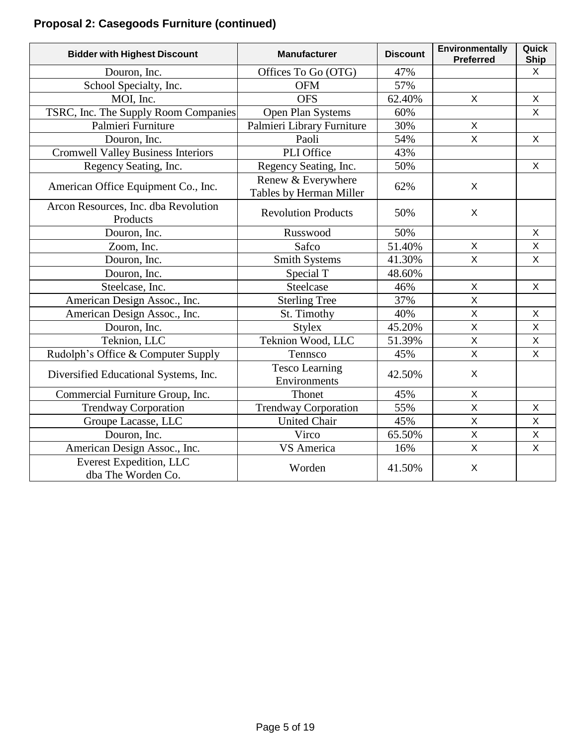# **Proposal 2: Casegoods Furniture (continued)**

| <b>Bidder with Highest Discount</b>              | <b>Manufacturer</b>                           | <b>Discount</b> | Environmentally<br><b>Preferred</b> | Quick<br><b>Ship</b> |
|--------------------------------------------------|-----------------------------------------------|-----------------|-------------------------------------|----------------------|
| Douron, Inc.                                     | Offices To Go (OTG)                           | 47%             |                                     | $\mathsf{X}$         |
| School Specialty, Inc.                           | <b>OFM</b>                                    | 57%             |                                     |                      |
| MOI, Inc.                                        | <b>OFS</b>                                    | 62.40%          | $\mathsf{X}$                        | $\mathsf X$          |
| TSRC, Inc. The Supply Room Companies             | Open Plan Systems                             | 60%             |                                     | $\mathsf{X}$         |
| Palmieri Furniture                               | Palmieri Library Furniture                    | 30%             | X                                   |                      |
| Douron, Inc.                                     | Paoli                                         | 54%             | $\overline{\mathsf{X}}$             | $\mathsf{X}$         |
| <b>Cromwell Valley Business Interiors</b>        | PLI Office                                    | 43%             |                                     |                      |
| Regency Seating, Inc.                            | Regency Seating, Inc.                         | 50%             |                                     | X                    |
| American Office Equipment Co., Inc.              | Renew & Everywhere<br>Tables by Herman Miller | 62%             | X                                   |                      |
| Arcon Resources, Inc. dba Revolution<br>Products | <b>Revolution Products</b>                    | 50%             | X                                   |                      |
| Douron, Inc.                                     | Russwood                                      | 50%             |                                     | X                    |
| Zoom, Inc.                                       | Safco                                         | 51.40%          | $\mathsf{X}$                        | $\mathsf{X}$         |
| Douron, Inc.                                     | <b>Smith Systems</b>                          | 41.30%          | $\overline{\mathsf{X}}$             | $\overline{X}$       |
| Douron, Inc.                                     | Special T                                     | 48.60%          |                                     |                      |
| Steelcase, Inc.                                  | Steelcase                                     | 46%             | $\mathsf{X}$                        | $\mathsf{X}$         |
| American Design Assoc., Inc.                     | <b>Sterling Tree</b>                          | 37%             | $\overline{\mathsf{x}}$             |                      |
| American Design Assoc., Inc.                     | St. Timothy                                   | 40%             | $\mathsf X$                         | X                    |
| Douron, Inc.                                     | <b>Stylex</b>                                 | 45.20%          | $\mathsf{X}$                        | $\mathsf{X}$         |
| Teknion, LLC                                     | Teknion Wood, LLC                             | 51.39%          | $\overline{X}$                      | $\mathsf{X}% _{0}$   |
| Rudolph's Office & Computer Supply               | Tennsco                                       | 45%             | $\mathsf{X}$                        | X                    |
| Diversified Educational Systems, Inc.            | <b>Tesco Learning</b><br>Environments         | 42.50%          | X                                   |                      |
| Commercial Furniture Group, Inc.                 | Thonet                                        | 45%             | $\mathsf{X}$                        |                      |
| <b>Trendway Corporation</b>                      | <b>Trendway Corporation</b>                   | 55%             | $\mathsf{X}$                        | X                    |
| Groupe Lacasse, LLC                              | <b>United Chair</b>                           | 45%             | $\mathsf{X}$                        | $\mathsf{X}$         |
| Douron, Inc.                                     | Virco                                         | 65.50%          | $\overline{X}$                      | $\mathsf{X}% _{0}$   |
| American Design Assoc., Inc.                     | VS America                                    | 16%             | $\mathsf X$                         | X                    |
| Everest Expedition, LLC<br>dba The Worden Co.    | Worden                                        | 41.50%          | X                                   |                      |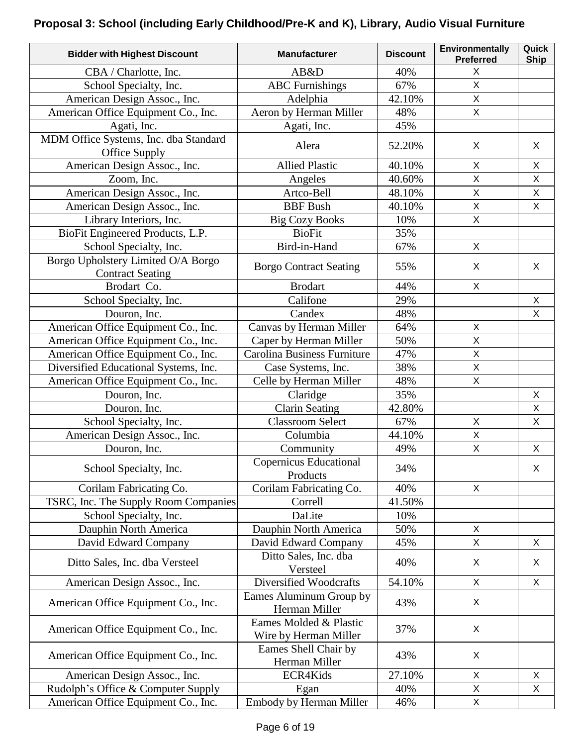### **Proposal 3: School (including Early Childhood/Pre-K and K), Library, Audio Visual Furniture**

| <b>Bidder with Highest Discount</b>                           | <b>Manufacturer</b>                             | <b>Discount</b> | <b>Environmentally</b><br><b>Preferred</b> | Quick<br><b>Ship</b> |
|---------------------------------------------------------------|-------------------------------------------------|-----------------|--------------------------------------------|----------------------|
| CBA / Charlotte, Inc.                                         | AB&D                                            | 40%             | X                                          |                      |
| School Specialty, Inc.                                        | <b>ABC</b> Furnishings                          | 67%             | $\mathsf{X}$                               |                      |
| American Design Assoc., Inc.                                  | Adelphia                                        | 42.10%          | $\mathsf X$                                |                      |
| American Office Equipment Co., Inc.                           | Aeron by Herman Miller                          | 48%             | X                                          |                      |
| Agati, Inc.                                                   | Agati, Inc.                                     | 45%             |                                            |                      |
| MDM Office Systems, Inc. dba Standard<br>Office Supply        | Alera                                           | 52.20%          | X                                          | X                    |
| American Design Assoc., Inc.                                  | <b>Allied Plastic</b>                           | 40.10%          | $\mathsf X$                                | $\pmb{\times}$       |
| Zoom, Inc.                                                    | Angeles                                         | 40.60%          | X                                          | X                    |
| American Design Assoc., Inc.                                  | Artco-Bell                                      | 48.10%          | X                                          | $\pmb{\times}$       |
| American Design Assoc., Inc.                                  | <b>BBF</b> Bush                                 | 40.10%          | $\mathsf X$                                | $\pmb{\times}$       |
| Library Interiors, Inc.                                       | <b>Big Cozy Books</b>                           | 10%             | X                                          |                      |
| BioFit Engineered Products, L.P.                              | <b>BioFit</b>                                   | 35%             |                                            |                      |
| School Specialty, Inc.                                        | Bird-in-Hand                                    | 67%             | X                                          |                      |
| Borgo Upholstery Limited O/A Borgo<br><b>Contract Seating</b> | <b>Borgo Contract Seating</b>                   | 55%             | X                                          | $\sf X$              |
| Brodart Co.                                                   | <b>Brodart</b>                                  | 44%             | X                                          |                      |
| School Specialty, Inc.                                        | Califone                                        | 29%             |                                            | $\mathsf{X}$         |
| Douron, Inc.                                                  | Candex                                          | 48%             |                                            | X                    |
| American Office Equipment Co., Inc.                           | Canvas by Herman Miller                         | 64%             | X                                          |                      |
| American Office Equipment Co., Inc.                           | Caper by Herman Miller                          | 50%             | X                                          |                      |
| American Office Equipment Co., Inc.                           | Carolina Business Furniture                     | 47%             | $\mathsf{X}$                               |                      |
| Diversified Educational Systems, Inc.                         | Case Systems, Inc.                              | 38%             | X                                          |                      |
| American Office Equipment Co., Inc.                           | Celle by Herman Miller                          | 48%             | X                                          |                      |
| Douron, Inc.                                                  | Claridge                                        | 35%             |                                            | X                    |
| Douron, Inc.                                                  | <b>Clarin Seating</b>                           | 42.80%          |                                            | X                    |
| School Specialty, Inc.                                        | <b>Classroom Select</b>                         | 67%             | X                                          | $\pmb{\times}$       |
| American Design Assoc., Inc.                                  | Columbia                                        | 44.10%          | X                                          |                      |
| Douron, Inc.                                                  | Community                                       | 49%             | $\mathsf X$                                | X                    |
| School Specialty, Inc.                                        | Copernicus Educational<br>Products              | 34%             |                                            | X                    |
| Corilam Fabricating Co.                                       | Corilam Fabricating Co.                         | 40%             | X                                          |                      |
| TSRC, Inc. The Supply Room Companies                          | Correll                                         | 41.50%          |                                            |                      |
| School Specialty, Inc.                                        | DaLite                                          | 10%             |                                            |                      |
| Dauphin North America                                         | Dauphin North America                           | 50%             | X                                          |                      |
| David Edward Company                                          | David Edward Company                            | 45%             | X                                          | X                    |
| Ditto Sales, Inc. dba Versteel                                | Ditto Sales, Inc. dba<br>Versteel               | 40%             | X                                          | X                    |
| American Design Assoc., Inc.                                  | Diversified Woodcrafts                          | 54.10%          | $\mathsf{X}$                               | X                    |
| American Office Equipment Co., Inc.                           | Eames Aluminum Group by<br>Herman Miller        | 43%             | X                                          |                      |
| American Office Equipment Co., Inc.                           | Eames Molded & Plastic<br>Wire by Herman Miller | 37%             | X                                          |                      |
| American Office Equipment Co., Inc.                           | Eames Shell Chair by<br>Herman Miller           | 43%             | X                                          |                      |
| American Design Assoc., Inc.                                  | ECR4Kids                                        | 27.10%          | X                                          | X                    |
| Rudolph's Office & Computer Supply                            | Egan                                            | 40%             | X                                          | X                    |
| American Office Equipment Co., Inc.                           | Embody by Herman Miller                         | 46%             | X                                          |                      |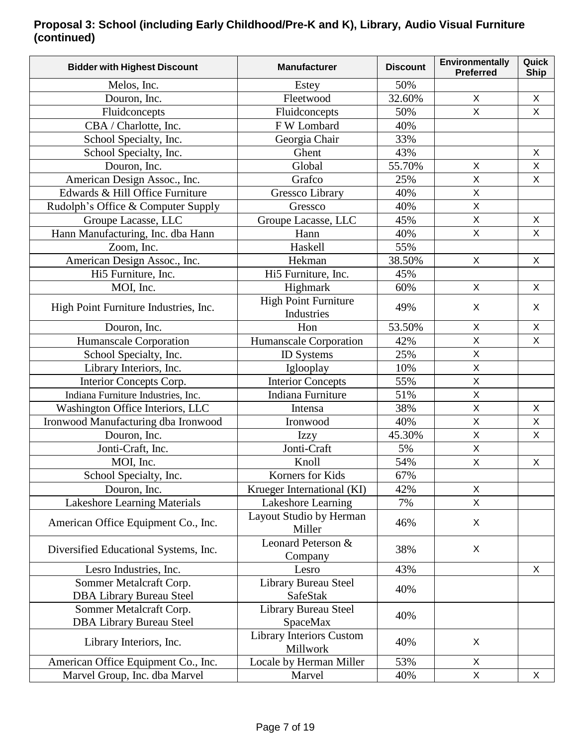### **Proposal 3: School (including Early Childhood/Pre-K and K), Library, Audio Visual Furniture (continued)**

| 50%<br>Melos, Inc.<br>Estey<br>32.60%<br>$\sf X$<br>$\pmb{\times}$<br>Douron, Inc.<br>Fleetwood<br>$\sf X$<br>Fluidconcepts<br>Fluidconcepts<br>X<br>50%<br>FW Lombard<br>40%<br>CBA / Charlotte, Inc.<br>33%<br>School Specialty, Inc.<br>Georgia Chair<br>School Specialty, Inc.<br>43%<br>Ghent<br>X<br>Global<br>55.70%<br>X<br>Douron, Inc.<br>X<br>$\sf X$<br>25%<br>$\mathsf{X}$<br>American Design Assoc., Inc.<br>Grafco<br>Edwards & Hill Office Furniture<br>40%<br>Gressco Library<br>Χ<br>$\mathsf{X}$<br>40%<br>Rudolph's Office & Computer Supply<br>Gressco<br>$\mathsf X$<br>Groupe Lacasse, LLC<br>Groupe Lacasse, LLC<br>45%<br>X<br>X<br>X<br>Hann Manufacturing, Inc. dba Hann<br>40%<br>Hann<br>55%<br>Zoom, Inc.<br>Haskell<br>American Design Assoc., Inc.<br>$\mathsf{X}$<br>$\pmb{\times}$<br>Hekman<br>38.50%<br>Hi5 Furniture, Inc.<br>Hi5 Furniture, Inc.<br>45%<br>60%<br>MOI, Inc.<br>Highmark<br>X<br>X<br><b>High Point Furniture</b><br>X<br>X<br>High Point Furniture Industries, Inc.<br>49%<br>Industries<br>53.50%<br>Douron, Inc.<br>Hon<br>X<br>X<br>$\sf X$<br>X<br>Humanscale Corporation<br>42%<br>Humanscale Corporation<br>$\mathsf{X}% _{0}$<br>25%<br>School Specialty, Inc.<br><b>ID</b> Systems<br>10%<br>$\mathsf X$<br>Library Interiors, Inc.<br>Iglooplay<br>55%<br>$\sf X$<br>Interior Concepts Corp.<br><b>Interior Concepts</b><br>Indiana Furniture<br>$\sf X$<br>51%<br>Indiana Furniture Industries, Inc.<br>38%<br>$\sf X$<br>Washington Office Interiors, LLC<br>X<br>Intensa<br>$\sf X$<br>Ironwood Manufacturing dba Ironwood<br>40%<br>$\boldsymbol{\mathsf{X}}$<br>Ironwood<br>$\mathsf X$<br>$\pmb{\times}$<br>Douron, Inc.<br>45.30%<br><b>Izzy</b><br>Jonti-Craft, Inc.<br>Jonti-Craft<br>5%<br>$\mathsf X$<br>$\mathsf X$<br>Knoll<br>54%<br>MOI, Inc.<br>X<br>Korners for Kids<br>67%<br>School Specialty, Inc.<br>X<br>Krueger International (KI)<br>42%<br>Douron, Inc.<br>$\mathsf X$<br>Lakeshore Learning Materials<br>Lakeshore Learning<br>7%<br>Layout Studio by Herman<br>American Office Equipment Co., Inc.<br>X<br>46%<br>Miller<br>Leonard Peterson &<br>Diversified Educational Systems, Inc.<br>38%<br>X<br>Company<br>43%<br>Lesro Industries, Inc.<br>X<br>Lesro<br>Sommer Metalcraft Corp.<br>Library Bureau Steel<br>40%<br><b>SafeStak</b><br><b>DBA Library Bureau Steel</b><br>Library Bureau Steel<br>Sommer Metalcraft Corp.<br>40%<br><b>DBA Library Bureau Steel</b><br>SpaceMax<br><b>Library Interiors Custom</b><br>X<br>Library Interiors, Inc.<br>40%<br>Millwork<br>Locale by Herman Miller<br>American Office Equipment Co., Inc.<br>53%<br>X | <b>Bidder with Highest Discount</b> | <b>Manufacturer</b> | <b>Discount</b> | Environmentally<br><b>Preferred</b> | Quick<br><b>Ship</b> |
|------------------------------------------------------------------------------------------------------------------------------------------------------------------------------------------------------------------------------------------------------------------------------------------------------------------------------------------------------------------------------------------------------------------------------------------------------------------------------------------------------------------------------------------------------------------------------------------------------------------------------------------------------------------------------------------------------------------------------------------------------------------------------------------------------------------------------------------------------------------------------------------------------------------------------------------------------------------------------------------------------------------------------------------------------------------------------------------------------------------------------------------------------------------------------------------------------------------------------------------------------------------------------------------------------------------------------------------------------------------------------------------------------------------------------------------------------------------------------------------------------------------------------------------------------------------------------------------------------------------------------------------------------------------------------------------------------------------------------------------------------------------------------------------------------------------------------------------------------------------------------------------------------------------------------------------------------------------------------------------------------------------------------------------------------------------------------------------------------------------------------------------------------------------------------------------------------------------------------------------------------------------------------------------------------------------------------------------------------------------------------------------------------------------------------------------------------------------------------------------------------------------------------------------------------------------------------------------------------------------------------------------------------|-------------------------------------|---------------------|-----------------|-------------------------------------|----------------------|
|                                                                                                                                                                                                                                                                                                                                                                                                                                                                                                                                                                                                                                                                                                                                                                                                                                                                                                                                                                                                                                                                                                                                                                                                                                                                                                                                                                                                                                                                                                                                                                                                                                                                                                                                                                                                                                                                                                                                                                                                                                                                                                                                                                                                                                                                                                                                                                                                                                                                                                                                                                                                                                                      |                                     |                     |                 |                                     |                      |
|                                                                                                                                                                                                                                                                                                                                                                                                                                                                                                                                                                                                                                                                                                                                                                                                                                                                                                                                                                                                                                                                                                                                                                                                                                                                                                                                                                                                                                                                                                                                                                                                                                                                                                                                                                                                                                                                                                                                                                                                                                                                                                                                                                                                                                                                                                                                                                                                                                                                                                                                                                                                                                                      |                                     |                     |                 |                                     |                      |
|                                                                                                                                                                                                                                                                                                                                                                                                                                                                                                                                                                                                                                                                                                                                                                                                                                                                                                                                                                                                                                                                                                                                                                                                                                                                                                                                                                                                                                                                                                                                                                                                                                                                                                                                                                                                                                                                                                                                                                                                                                                                                                                                                                                                                                                                                                                                                                                                                                                                                                                                                                                                                                                      |                                     |                     |                 |                                     |                      |
|                                                                                                                                                                                                                                                                                                                                                                                                                                                                                                                                                                                                                                                                                                                                                                                                                                                                                                                                                                                                                                                                                                                                                                                                                                                                                                                                                                                                                                                                                                                                                                                                                                                                                                                                                                                                                                                                                                                                                                                                                                                                                                                                                                                                                                                                                                                                                                                                                                                                                                                                                                                                                                                      |                                     |                     |                 |                                     |                      |
|                                                                                                                                                                                                                                                                                                                                                                                                                                                                                                                                                                                                                                                                                                                                                                                                                                                                                                                                                                                                                                                                                                                                                                                                                                                                                                                                                                                                                                                                                                                                                                                                                                                                                                                                                                                                                                                                                                                                                                                                                                                                                                                                                                                                                                                                                                                                                                                                                                                                                                                                                                                                                                                      |                                     |                     |                 |                                     |                      |
|                                                                                                                                                                                                                                                                                                                                                                                                                                                                                                                                                                                                                                                                                                                                                                                                                                                                                                                                                                                                                                                                                                                                                                                                                                                                                                                                                                                                                                                                                                                                                                                                                                                                                                                                                                                                                                                                                                                                                                                                                                                                                                                                                                                                                                                                                                                                                                                                                                                                                                                                                                                                                                                      |                                     |                     |                 |                                     |                      |
|                                                                                                                                                                                                                                                                                                                                                                                                                                                                                                                                                                                                                                                                                                                                                                                                                                                                                                                                                                                                                                                                                                                                                                                                                                                                                                                                                                                                                                                                                                                                                                                                                                                                                                                                                                                                                                                                                                                                                                                                                                                                                                                                                                                                                                                                                                                                                                                                                                                                                                                                                                                                                                                      |                                     |                     |                 |                                     |                      |
|                                                                                                                                                                                                                                                                                                                                                                                                                                                                                                                                                                                                                                                                                                                                                                                                                                                                                                                                                                                                                                                                                                                                                                                                                                                                                                                                                                                                                                                                                                                                                                                                                                                                                                                                                                                                                                                                                                                                                                                                                                                                                                                                                                                                                                                                                                                                                                                                                                                                                                                                                                                                                                                      |                                     |                     |                 |                                     |                      |
|                                                                                                                                                                                                                                                                                                                                                                                                                                                                                                                                                                                                                                                                                                                                                                                                                                                                                                                                                                                                                                                                                                                                                                                                                                                                                                                                                                                                                                                                                                                                                                                                                                                                                                                                                                                                                                                                                                                                                                                                                                                                                                                                                                                                                                                                                                                                                                                                                                                                                                                                                                                                                                                      |                                     |                     |                 |                                     |                      |
|                                                                                                                                                                                                                                                                                                                                                                                                                                                                                                                                                                                                                                                                                                                                                                                                                                                                                                                                                                                                                                                                                                                                                                                                                                                                                                                                                                                                                                                                                                                                                                                                                                                                                                                                                                                                                                                                                                                                                                                                                                                                                                                                                                                                                                                                                                                                                                                                                                                                                                                                                                                                                                                      |                                     |                     |                 |                                     |                      |
|                                                                                                                                                                                                                                                                                                                                                                                                                                                                                                                                                                                                                                                                                                                                                                                                                                                                                                                                                                                                                                                                                                                                                                                                                                                                                                                                                                                                                                                                                                                                                                                                                                                                                                                                                                                                                                                                                                                                                                                                                                                                                                                                                                                                                                                                                                                                                                                                                                                                                                                                                                                                                                                      |                                     |                     |                 |                                     |                      |
|                                                                                                                                                                                                                                                                                                                                                                                                                                                                                                                                                                                                                                                                                                                                                                                                                                                                                                                                                                                                                                                                                                                                                                                                                                                                                                                                                                                                                                                                                                                                                                                                                                                                                                                                                                                                                                                                                                                                                                                                                                                                                                                                                                                                                                                                                                                                                                                                                                                                                                                                                                                                                                                      |                                     |                     |                 |                                     |                      |
|                                                                                                                                                                                                                                                                                                                                                                                                                                                                                                                                                                                                                                                                                                                                                                                                                                                                                                                                                                                                                                                                                                                                                                                                                                                                                                                                                                                                                                                                                                                                                                                                                                                                                                                                                                                                                                                                                                                                                                                                                                                                                                                                                                                                                                                                                                                                                                                                                                                                                                                                                                                                                                                      |                                     |                     |                 |                                     |                      |
|                                                                                                                                                                                                                                                                                                                                                                                                                                                                                                                                                                                                                                                                                                                                                                                                                                                                                                                                                                                                                                                                                                                                                                                                                                                                                                                                                                                                                                                                                                                                                                                                                                                                                                                                                                                                                                                                                                                                                                                                                                                                                                                                                                                                                                                                                                                                                                                                                                                                                                                                                                                                                                                      |                                     |                     |                 |                                     |                      |
|                                                                                                                                                                                                                                                                                                                                                                                                                                                                                                                                                                                                                                                                                                                                                                                                                                                                                                                                                                                                                                                                                                                                                                                                                                                                                                                                                                                                                                                                                                                                                                                                                                                                                                                                                                                                                                                                                                                                                                                                                                                                                                                                                                                                                                                                                                                                                                                                                                                                                                                                                                                                                                                      |                                     |                     |                 |                                     |                      |
|                                                                                                                                                                                                                                                                                                                                                                                                                                                                                                                                                                                                                                                                                                                                                                                                                                                                                                                                                                                                                                                                                                                                                                                                                                                                                                                                                                                                                                                                                                                                                                                                                                                                                                                                                                                                                                                                                                                                                                                                                                                                                                                                                                                                                                                                                                                                                                                                                                                                                                                                                                                                                                                      |                                     |                     |                 |                                     |                      |
|                                                                                                                                                                                                                                                                                                                                                                                                                                                                                                                                                                                                                                                                                                                                                                                                                                                                                                                                                                                                                                                                                                                                                                                                                                                                                                                                                                                                                                                                                                                                                                                                                                                                                                                                                                                                                                                                                                                                                                                                                                                                                                                                                                                                                                                                                                                                                                                                                                                                                                                                                                                                                                                      |                                     |                     |                 |                                     |                      |
|                                                                                                                                                                                                                                                                                                                                                                                                                                                                                                                                                                                                                                                                                                                                                                                                                                                                                                                                                                                                                                                                                                                                                                                                                                                                                                                                                                                                                                                                                                                                                                                                                                                                                                                                                                                                                                                                                                                                                                                                                                                                                                                                                                                                                                                                                                                                                                                                                                                                                                                                                                                                                                                      |                                     |                     |                 |                                     |                      |
|                                                                                                                                                                                                                                                                                                                                                                                                                                                                                                                                                                                                                                                                                                                                                                                                                                                                                                                                                                                                                                                                                                                                                                                                                                                                                                                                                                                                                                                                                                                                                                                                                                                                                                                                                                                                                                                                                                                                                                                                                                                                                                                                                                                                                                                                                                                                                                                                                                                                                                                                                                                                                                                      |                                     |                     |                 |                                     |                      |
|                                                                                                                                                                                                                                                                                                                                                                                                                                                                                                                                                                                                                                                                                                                                                                                                                                                                                                                                                                                                                                                                                                                                                                                                                                                                                                                                                                                                                                                                                                                                                                                                                                                                                                                                                                                                                                                                                                                                                                                                                                                                                                                                                                                                                                                                                                                                                                                                                                                                                                                                                                                                                                                      |                                     |                     |                 |                                     |                      |
|                                                                                                                                                                                                                                                                                                                                                                                                                                                                                                                                                                                                                                                                                                                                                                                                                                                                                                                                                                                                                                                                                                                                                                                                                                                                                                                                                                                                                                                                                                                                                                                                                                                                                                                                                                                                                                                                                                                                                                                                                                                                                                                                                                                                                                                                                                                                                                                                                                                                                                                                                                                                                                                      |                                     |                     |                 |                                     |                      |
|                                                                                                                                                                                                                                                                                                                                                                                                                                                                                                                                                                                                                                                                                                                                                                                                                                                                                                                                                                                                                                                                                                                                                                                                                                                                                                                                                                                                                                                                                                                                                                                                                                                                                                                                                                                                                                                                                                                                                                                                                                                                                                                                                                                                                                                                                                                                                                                                                                                                                                                                                                                                                                                      |                                     |                     |                 |                                     |                      |
|                                                                                                                                                                                                                                                                                                                                                                                                                                                                                                                                                                                                                                                                                                                                                                                                                                                                                                                                                                                                                                                                                                                                                                                                                                                                                                                                                                                                                                                                                                                                                                                                                                                                                                                                                                                                                                                                                                                                                                                                                                                                                                                                                                                                                                                                                                                                                                                                                                                                                                                                                                                                                                                      |                                     |                     |                 |                                     |                      |
|                                                                                                                                                                                                                                                                                                                                                                                                                                                                                                                                                                                                                                                                                                                                                                                                                                                                                                                                                                                                                                                                                                                                                                                                                                                                                                                                                                                                                                                                                                                                                                                                                                                                                                                                                                                                                                                                                                                                                                                                                                                                                                                                                                                                                                                                                                                                                                                                                                                                                                                                                                                                                                                      |                                     |                     |                 |                                     |                      |
|                                                                                                                                                                                                                                                                                                                                                                                                                                                                                                                                                                                                                                                                                                                                                                                                                                                                                                                                                                                                                                                                                                                                                                                                                                                                                                                                                                                                                                                                                                                                                                                                                                                                                                                                                                                                                                                                                                                                                                                                                                                                                                                                                                                                                                                                                                                                                                                                                                                                                                                                                                                                                                                      |                                     |                     |                 |                                     |                      |
|                                                                                                                                                                                                                                                                                                                                                                                                                                                                                                                                                                                                                                                                                                                                                                                                                                                                                                                                                                                                                                                                                                                                                                                                                                                                                                                                                                                                                                                                                                                                                                                                                                                                                                                                                                                                                                                                                                                                                                                                                                                                                                                                                                                                                                                                                                                                                                                                                                                                                                                                                                                                                                                      |                                     |                     |                 |                                     |                      |
|                                                                                                                                                                                                                                                                                                                                                                                                                                                                                                                                                                                                                                                                                                                                                                                                                                                                                                                                                                                                                                                                                                                                                                                                                                                                                                                                                                                                                                                                                                                                                                                                                                                                                                                                                                                                                                                                                                                                                                                                                                                                                                                                                                                                                                                                                                                                                                                                                                                                                                                                                                                                                                                      |                                     |                     |                 |                                     |                      |
|                                                                                                                                                                                                                                                                                                                                                                                                                                                                                                                                                                                                                                                                                                                                                                                                                                                                                                                                                                                                                                                                                                                                                                                                                                                                                                                                                                                                                                                                                                                                                                                                                                                                                                                                                                                                                                                                                                                                                                                                                                                                                                                                                                                                                                                                                                                                                                                                                                                                                                                                                                                                                                                      |                                     |                     |                 |                                     |                      |
|                                                                                                                                                                                                                                                                                                                                                                                                                                                                                                                                                                                                                                                                                                                                                                                                                                                                                                                                                                                                                                                                                                                                                                                                                                                                                                                                                                                                                                                                                                                                                                                                                                                                                                                                                                                                                                                                                                                                                                                                                                                                                                                                                                                                                                                                                                                                                                                                                                                                                                                                                                                                                                                      |                                     |                     |                 |                                     |                      |
|                                                                                                                                                                                                                                                                                                                                                                                                                                                                                                                                                                                                                                                                                                                                                                                                                                                                                                                                                                                                                                                                                                                                                                                                                                                                                                                                                                                                                                                                                                                                                                                                                                                                                                                                                                                                                                                                                                                                                                                                                                                                                                                                                                                                                                                                                                                                                                                                                                                                                                                                                                                                                                                      |                                     |                     |                 |                                     |                      |
|                                                                                                                                                                                                                                                                                                                                                                                                                                                                                                                                                                                                                                                                                                                                                                                                                                                                                                                                                                                                                                                                                                                                                                                                                                                                                                                                                                                                                                                                                                                                                                                                                                                                                                                                                                                                                                                                                                                                                                                                                                                                                                                                                                                                                                                                                                                                                                                                                                                                                                                                                                                                                                                      |                                     |                     |                 |                                     |                      |
|                                                                                                                                                                                                                                                                                                                                                                                                                                                                                                                                                                                                                                                                                                                                                                                                                                                                                                                                                                                                                                                                                                                                                                                                                                                                                                                                                                                                                                                                                                                                                                                                                                                                                                                                                                                                                                                                                                                                                                                                                                                                                                                                                                                                                                                                                                                                                                                                                                                                                                                                                                                                                                                      |                                     |                     |                 |                                     |                      |
|                                                                                                                                                                                                                                                                                                                                                                                                                                                                                                                                                                                                                                                                                                                                                                                                                                                                                                                                                                                                                                                                                                                                                                                                                                                                                                                                                                                                                                                                                                                                                                                                                                                                                                                                                                                                                                                                                                                                                                                                                                                                                                                                                                                                                                                                                                                                                                                                                                                                                                                                                                                                                                                      |                                     |                     |                 |                                     |                      |
|                                                                                                                                                                                                                                                                                                                                                                                                                                                                                                                                                                                                                                                                                                                                                                                                                                                                                                                                                                                                                                                                                                                                                                                                                                                                                                                                                                                                                                                                                                                                                                                                                                                                                                                                                                                                                                                                                                                                                                                                                                                                                                                                                                                                                                                                                                                                                                                                                                                                                                                                                                                                                                                      |                                     |                     |                 |                                     |                      |
|                                                                                                                                                                                                                                                                                                                                                                                                                                                                                                                                                                                                                                                                                                                                                                                                                                                                                                                                                                                                                                                                                                                                                                                                                                                                                                                                                                                                                                                                                                                                                                                                                                                                                                                                                                                                                                                                                                                                                                                                                                                                                                                                                                                                                                                                                                                                                                                                                                                                                                                                                                                                                                                      |                                     |                     |                 |                                     |                      |
|                                                                                                                                                                                                                                                                                                                                                                                                                                                                                                                                                                                                                                                                                                                                                                                                                                                                                                                                                                                                                                                                                                                                                                                                                                                                                                                                                                                                                                                                                                                                                                                                                                                                                                                                                                                                                                                                                                                                                                                                                                                                                                                                                                                                                                                                                                                                                                                                                                                                                                                                                                                                                                                      |                                     |                     |                 |                                     |                      |
|                                                                                                                                                                                                                                                                                                                                                                                                                                                                                                                                                                                                                                                                                                                                                                                                                                                                                                                                                                                                                                                                                                                                                                                                                                                                                                                                                                                                                                                                                                                                                                                                                                                                                                                                                                                                                                                                                                                                                                                                                                                                                                                                                                                                                                                                                                                                                                                                                                                                                                                                                                                                                                                      |                                     |                     |                 |                                     |                      |
|                                                                                                                                                                                                                                                                                                                                                                                                                                                                                                                                                                                                                                                                                                                                                                                                                                                                                                                                                                                                                                                                                                                                                                                                                                                                                                                                                                                                                                                                                                                                                                                                                                                                                                                                                                                                                                                                                                                                                                                                                                                                                                                                                                                                                                                                                                                                                                                                                                                                                                                                                                                                                                                      |                                     |                     |                 |                                     |                      |
|                                                                                                                                                                                                                                                                                                                                                                                                                                                                                                                                                                                                                                                                                                                                                                                                                                                                                                                                                                                                                                                                                                                                                                                                                                                                                                                                                                                                                                                                                                                                                                                                                                                                                                                                                                                                                                                                                                                                                                                                                                                                                                                                                                                                                                                                                                                                                                                                                                                                                                                                                                                                                                                      |                                     |                     |                 |                                     |                      |
|                                                                                                                                                                                                                                                                                                                                                                                                                                                                                                                                                                                                                                                                                                                                                                                                                                                                                                                                                                                                                                                                                                                                                                                                                                                                                                                                                                                                                                                                                                                                                                                                                                                                                                                                                                                                                                                                                                                                                                                                                                                                                                                                                                                                                                                                                                                                                                                                                                                                                                                                                                                                                                                      |                                     |                     |                 |                                     |                      |
|                                                                                                                                                                                                                                                                                                                                                                                                                                                                                                                                                                                                                                                                                                                                                                                                                                                                                                                                                                                                                                                                                                                                                                                                                                                                                                                                                                                                                                                                                                                                                                                                                                                                                                                                                                                                                                                                                                                                                                                                                                                                                                                                                                                                                                                                                                                                                                                                                                                                                                                                                                                                                                                      | Marvel Group, Inc. dba Marvel       | Marvel              | 40%             | X                                   | X                    |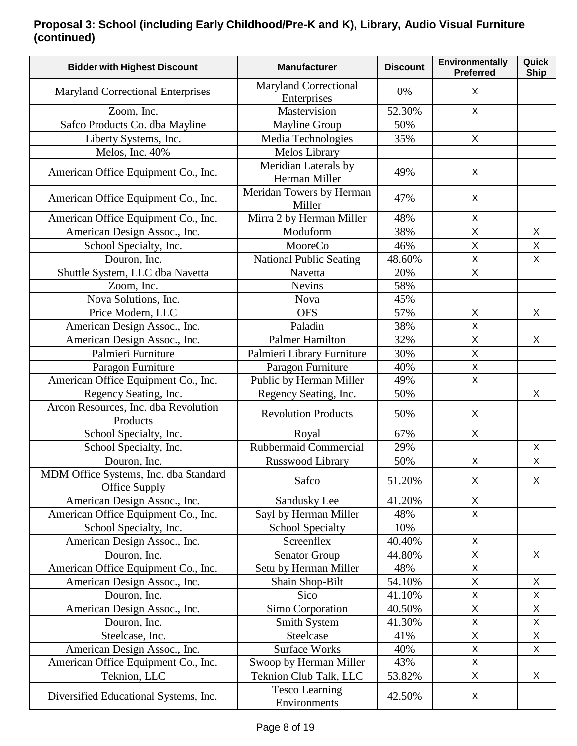### **Proposal 3: School (including Early Childhood/Pre-K and K), Library, Audio Visual Furniture (continued)**

| <b>Bidder with Highest Discount</b>                    | <b>Manufacturer</b>                         | <b>Discount</b> | Environmentally<br><b>Preferred</b> | Quick<br><b>Ship</b> |
|--------------------------------------------------------|---------------------------------------------|-----------------|-------------------------------------|----------------------|
| <b>Maryland Correctional Enterprises</b>               | <b>Maryland Correctional</b><br>Enterprises | 0%              | X                                   |                      |
| Zoom, Inc.                                             | Mastervision                                | 52.30%          | X                                   |                      |
| Safco Products Co. dba Mayline                         | <b>Mayline Group</b>                        | 50%             |                                     |                      |
| Liberty Systems, Inc.                                  | Media Technologies                          | 35%             | $\mathsf{X}$                        |                      |
| Melos, Inc. 40%                                        | Melos Library                               |                 |                                     |                      |
| American Office Equipment Co., Inc.                    | Meridian Laterals by<br>Herman Miller       | 49%             | X                                   |                      |
| American Office Equipment Co., Inc.                    | Meridan Towers by Herman<br>Miller          | 47%             | X                                   |                      |
| American Office Equipment Co., Inc.                    | Mirra 2 by Herman Miller                    | 48%             | X                                   |                      |
| American Design Assoc., Inc.                           | Moduform                                    | 38%             | $\overline{\mathsf{X}}$             | $\mathsf{X}$         |
| School Specialty, Inc.                                 | MooreCo                                     | 46%             | $\sf X$                             | $\mathsf X$          |
| Douron, Inc.                                           | <b>National Public Seating</b>              | 48.60%          | $\mathsf{X}$                        | X                    |
| Shuttle System, LLC dba Navetta                        | Navetta                                     | 20%             | X                                   |                      |
| Zoom, Inc.                                             | <b>Nevins</b>                               | 58%             |                                     |                      |
| Nova Solutions, Inc.                                   | <b>Nova</b>                                 | 45%             |                                     |                      |
| Price Modern, LLC                                      | <b>OFS</b>                                  | 57%             | $\mathsf{X}$                        | $\mathsf{X}$         |
| American Design Assoc., Inc.                           | Paladin                                     | 38%             | X                                   |                      |
| American Design Assoc., Inc.                           | <b>Palmer Hamilton</b>                      | 32%             | $\overline{\mathsf{X}}$             | X                    |
| Palmieri Furniture                                     | Palmieri Library Furniture                  | 30%             | $\overline{X}$                      |                      |
| Paragon Furniture                                      | Paragon Furniture                           | 40%             | $\mathsf X$                         |                      |
| American Office Equipment Co., Inc.                    | Public by Herman Miller                     | 49%             | X                                   |                      |
| Regency Seating, Inc.                                  | Regency Seating, Inc.                       | 50%             |                                     | X                    |
| Arcon Resources, Inc. dba Revolution<br>Products       | <b>Revolution Products</b>                  | 50%             | X                                   |                      |
| School Specialty, Inc.                                 | Royal                                       | 67%             | X                                   |                      |
| School Specialty, Inc.                                 | Rubbermaid Commercial                       | 29%             |                                     | X                    |
| Douron, Inc.                                           | Russwood Library                            | 50%             | X                                   | $\sf X$              |
| MDM Office Systems, Inc. dba Standard<br>Office Supply | Safco                                       | 51.20%          | X                                   | X                    |
| American Design Assoc., Inc.                           | Sandusky Lee                                | 41.20%          | X                                   |                      |
| American Office Equipment Co., Inc.                    | Sayl by Herman Miller                       | 48%             | $\mathsf{X}$                        |                      |
| School Specialty, Inc.                                 | <b>School Specialty</b>                     | 10%             |                                     |                      |
| American Design Assoc., Inc.                           | Screenflex                                  | 40.40%          | X                                   |                      |
| Douron, Inc.                                           | <b>Senator Group</b>                        | 44.80%          | $\mathsf{X}$                        | X                    |
| American Office Equipment Co., Inc.                    | Setu by Herman Miller                       | 48%             | $\mathsf{X}$                        |                      |
| American Design Assoc., Inc.                           | Shain Shop-Bilt                             | 54.10%          | X                                   | X                    |
| Douron, Inc.                                           | Sico                                        | 41.10%          | $\mathsf{X}$                        | X                    |
| American Design Assoc., Inc.                           | Simo Corporation                            | 40.50%          | X                                   | X                    |
| Douron, Inc.                                           | Smith System                                | 41.30%          | $\mathsf{X}$                        | $\mathsf{X}$         |
| Steelcase, Inc.                                        | Steelcase                                   | 41%             | X                                   | X                    |
| American Design Assoc., Inc.                           | <b>Surface Works</b>                        | 40%             | X                                   | X                    |
| American Office Equipment Co., Inc.                    | Swoop by Herman Miller                      | 43%             | $\mathsf{X}$                        |                      |
| Teknion, LLC                                           | Teknion Club Talk, LLC                      | 53.82%          | X                                   | X                    |
| Diversified Educational Systems, Inc.                  | <b>Tesco Learning</b><br>Environments       | 42.50%          | X                                   |                      |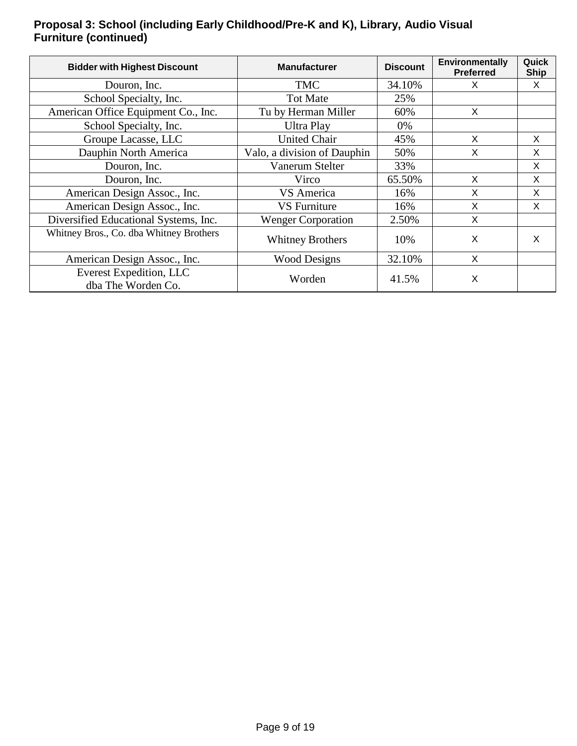### **Proposal 3: School (including Early Childhood/Pre-K and K), Library, Audio Visual Furniture (continued)**

| <b>Bidder with Highest Discount</b>           | <b>Manufacturer</b>         | <b>Discount</b> | Environmentally<br><b>Preferred</b> | Quick<br><b>Ship</b> |
|-----------------------------------------------|-----------------------------|-----------------|-------------------------------------|----------------------|
| Douron, Inc.                                  | <b>TMC</b>                  | 34.10%          | X                                   | X                    |
| School Specialty, Inc.                        | <b>Tot Mate</b>             | 25%             |                                     |                      |
| American Office Equipment Co., Inc.           | Tu by Herman Miller         | 60%             | X                                   |                      |
| School Specialty, Inc.                        | <b>Ultra Play</b>           | 0%              |                                     |                      |
| Groupe Lacasse, LLC                           | <b>United Chair</b>         | 45%             | X                                   | X                    |
| Dauphin North America                         | Valo, a division of Dauphin | 50%             | X                                   | X                    |
| Douron, Inc.                                  | Vanerum Stelter             | 33%             |                                     | $\sf X$              |
| Douron, Inc.                                  | Virco                       | 65.50%          | X                                   | X                    |
| American Design Assoc., Inc.                  | VS America                  | 16%             | X                                   | X                    |
| American Design Assoc., Inc.                  | <b>VS</b> Furniture         | 16%             | X                                   | X                    |
| Diversified Educational Systems, Inc.         | <b>Wenger Corporation</b>   | 2.50%           | X                                   |                      |
| Whitney Bros., Co. dba Whitney Brothers       | <b>Whitney Brothers</b>     | 10%             | X                                   | $\mathsf{x}$         |
| American Design Assoc., Inc.                  | <b>Wood Designs</b>         | 32.10%          | X                                   |                      |
| Everest Expedition, LLC<br>dba The Worden Co. | Worden                      | 41.5%           | X                                   |                      |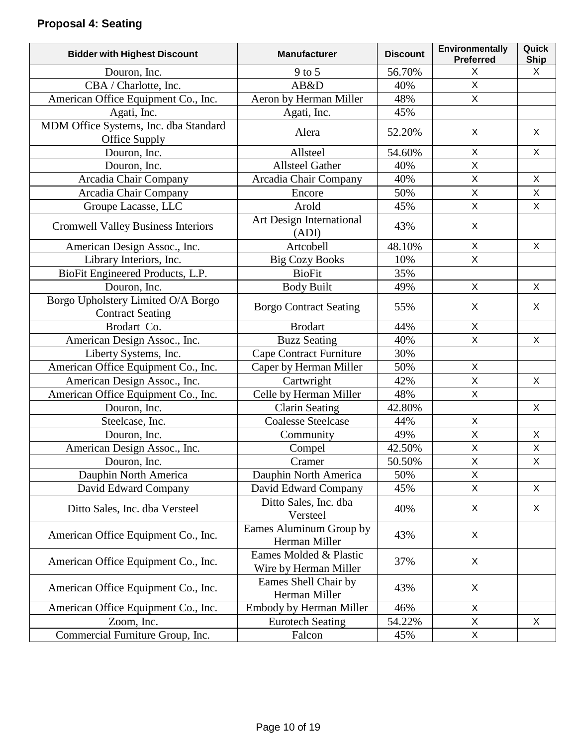# **Proposal 4: Seating**

| <b>Bidder with Highest Discount</b>                           | <b>Manufacturer</b>                             | <b>Discount</b> | Environmentally<br><b>Preferred</b> | Quick<br><b>Ship</b> |
|---------------------------------------------------------------|-------------------------------------------------|-----------------|-------------------------------------|----------------------|
| Douron, Inc.                                                  | $9$ to 5                                        | 56.70%          | X                                   | X                    |
| CBA / Charlotte, Inc.                                         | AB&D                                            | 40%             | $\mathsf{X}$                        |                      |
| American Office Equipment Co., Inc.                           | Aeron by Herman Miller                          | 48%             | X                                   |                      |
| Agati, Inc.                                                   | Agati, Inc.                                     | 45%             |                                     |                      |
| MDM Office Systems, Inc. dba Standard<br>Office Supply        | Alera                                           | 52.20%          | X                                   | $\mathsf{X}$         |
| Douron, Inc.                                                  | Allsteel                                        | 54.60%          | X                                   | X                    |
| Douron, Inc.                                                  | <b>Allsteel Gather</b>                          | 40%             | X                                   |                      |
| Arcadia Chair Company                                         | Arcadia Chair Company                           | 40%             | $\mathsf X$                         | X                    |
| Arcadia Chair Company                                         | Encore                                          | 50%             | $\overline{X}$                      | $\mathsf X$          |
| Groupe Lacasse, LLC                                           | Arold                                           | 45%             | $\overline{X}$                      | $\mathsf{X}$         |
| <b>Cromwell Valley Business Interiors</b>                     | Art Design International<br>(ADI)               | 43%             | X                                   |                      |
| American Design Assoc., Inc.                                  | Artcobell                                       | 48.10%          | X                                   | X                    |
| Library Interiors, Inc.                                       | <b>Big Cozy Books</b>                           | 10%             | X                                   |                      |
| BioFit Engineered Products, L.P.                              | <b>BioFit</b>                                   | 35%             |                                     |                      |
| Douron, Inc.                                                  | <b>Body Built</b>                               | 49%             | X                                   | X                    |
| Borgo Upholstery Limited O/A Borgo<br><b>Contract Seating</b> | <b>Borgo Contract Seating</b>                   | 55%             | X                                   | X                    |
| Brodart Co.                                                   | <b>Brodart</b>                                  | 44%             | X                                   |                      |
| American Design Assoc., Inc.                                  | <b>Buzz Seating</b>                             | 40%             | $\mathsf{X}$                        | X                    |
| Liberty Systems, Inc.                                         | <b>Cape Contract Furniture</b>                  | 30%             |                                     |                      |
| American Office Equipment Co., Inc.                           | Caper by Herman Miller                          | 50%             | X                                   |                      |
| American Design Assoc., Inc.                                  | Cartwright                                      | 42%             | X                                   | X                    |
| American Office Equipment Co., Inc.                           | Celle by Herman Miller                          | 48%             | X                                   |                      |
| Douron, Inc.                                                  | <b>Clarin Seating</b>                           | 42.80%          |                                     | X                    |
| Steelcase, Inc.                                               | <b>Coalesse Steelcase</b>                       | 44%             | X                                   |                      |
| Douron, Inc.                                                  | Community                                       | 49%             | X                                   | X                    |
| American Design Assoc., Inc.                                  | Compel                                          | 42.50%          | $\sf X$                             | $\mathsf X$          |
| Douron, Inc.                                                  | Cramer                                          | 50.50%          | $\mathsf{X}$                        | $\mathsf X$          |
| Dauphin North America                                         | Dauphin North America                           | 50%             | X                                   |                      |
| David Edward Company                                          | David Edward Company                            | 45%             | X                                   | X                    |
| Ditto Sales, Inc. dba Versteel                                | Ditto Sales, Inc. dba<br>Versteel               | 40%             | X                                   | X                    |
| American Office Equipment Co., Inc.                           | Eames Aluminum Group by<br>Herman Miller        | 43%             | X                                   |                      |
| American Office Equipment Co., Inc.                           | Eames Molded & Plastic<br>Wire by Herman Miller | 37%             | X                                   |                      |
| American Office Equipment Co., Inc.                           | Eames Shell Chair by<br>Herman Miller           | 43%             | X                                   |                      |
| American Office Equipment Co., Inc.                           | <b>Embody by Herman Miller</b>                  | 46%             | X                                   |                      |
| Zoom, Inc.                                                    | <b>Eurotech Seating</b>                         | 54.22%          | X                                   | X                    |
| Commercial Furniture Group, Inc.                              | Falcon                                          | 45%             | $\mathsf{X}$                        |                      |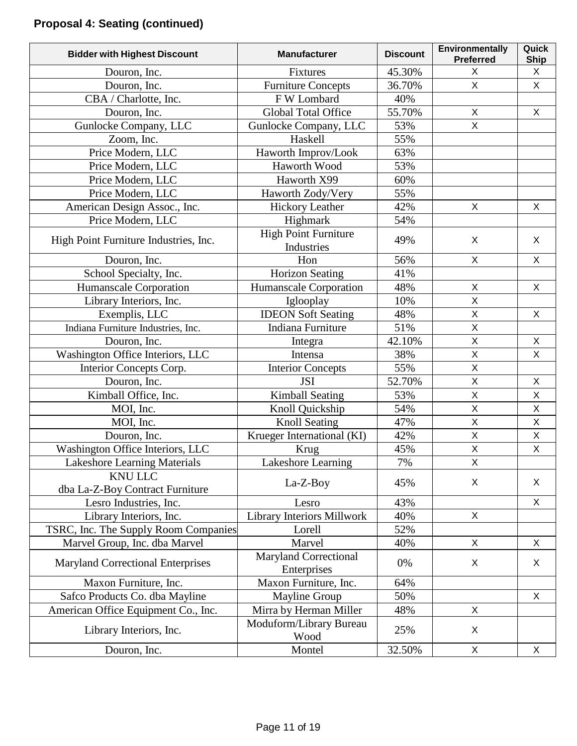# **Proposal 4: Seating (continued)**

| <b>Bidder with Highest Discount</b>      | <b>Manufacturer</b>               | <b>Discount</b> | Environmentally<br><b>Preferred</b> | Quick<br><b>Ship</b> |
|------------------------------------------|-----------------------------------|-----------------|-------------------------------------|----------------------|
| Douron, Inc.                             | <b>Fixtures</b>                   | 45.30%          | X                                   | X                    |
| Douron, Inc.                             | <b>Furniture Concepts</b>         | 36.70%          | X                                   | X                    |
| CBA / Charlotte, Inc.                    | F W Lombard                       | 40%             |                                     |                      |
| Douron, Inc.                             | Global Total Office               | 55.70%          | X                                   | X                    |
| Gunlocke Company, LLC                    | Gunlocke Company, LLC             | 53%             | X                                   |                      |
| Zoom, Inc.                               | Haskell                           | 55%             |                                     |                      |
| Price Modern, LLC                        | Haworth Improv/Look               | 63%             |                                     |                      |
| Price Modern, LLC                        | Haworth Wood                      | 53%             |                                     |                      |
| Price Modern, LLC                        | Haworth X99                       | 60%             |                                     |                      |
| Price Modern, LLC                        | Haworth Zody/Very                 | 55%             |                                     |                      |
| American Design Assoc., Inc.             | <b>Hickory Leather</b>            | 42%             | X                                   | X                    |
| Price Modern, LLC                        | Highmark                          | 54%             |                                     |                      |
|                                          | <b>High Point Furniture</b>       |                 |                                     |                      |
| High Point Furniture Industries, Inc.    | Industries                        | 49%             | X                                   | X                    |
| Douron, Inc.                             | Hon                               | 56%             | X                                   | X                    |
| School Specialty, Inc.                   | <b>Horizon Seating</b>            | 41%             |                                     |                      |
| Humanscale Corporation                   | Humanscale Corporation            | 48%             | X                                   | X                    |
| Library Interiors, Inc.                  | Iglooplay                         | 10%             | $\mathsf{X}% _{0}$                  |                      |
| Exemplis, LLC                            | <b>IDEON Soft Seating</b>         | 48%             | $\overline{X}$                      | X                    |
| Indiana Furniture Industries, Inc.       | Indiana Furniture                 | 51%             | $\sf X$                             |                      |
| Douron, Inc.                             | Integra                           | 42.10%          | $\overline{\mathsf{X}}$             | X                    |
| Washington Office Interiors, LLC         | Intensa                           | 38%             | X                                   | X                    |
| Interior Concepts Corp.                  | <b>Interior Concepts</b>          | 55%             | X                                   |                      |
| Douron, Inc.                             | <b>JSI</b>                        | 52.70%          | X                                   | X                    |
| Kimball Office, Inc.                     | <b>Kimball Seating</b>            | 53%             | $\mathsf{X}% _{0}$                  | X                    |
| MOI, Inc.                                | Knoll Quickship                   | 54%             | $\overline{\mathsf{x}}$             | $\mathsf X$          |
| MOI, Inc.                                | <b>Knoll Seating</b>              | 47%             | X                                   | $\mathsf X$          |
| Douron, Inc.                             | Krueger International (KI)        | 42%             | $\overline{X}$                      | $\mathsf X$          |
| Washington Office Interiors, LLC         | Krug                              | 45%             | $\mathsf{X}% _{0}$                  | $\pmb{\times}$       |
| <b>Lakeshore Learning Materials</b>      | Lakeshore Learning                | 7%              | $\mathsf{X}$                        |                      |
| <b>KNU LLC</b>                           |                                   |                 |                                     |                      |
| dba La-Z-Boy Contract Furniture          | La-Z-Boy                          | 45%             | X                                   | X                    |
| Lesro Industries, Inc.                   | Lesro                             | 43%             |                                     | $\mathsf{X}$         |
| Library Interiors, Inc.                  | <b>Library Interiors Millwork</b> | 40%             | X                                   |                      |
| TSRC, Inc. The Supply Room Companies     | Lorell                            | 52%             |                                     |                      |
| Marvel Group, Inc. dba Marvel            | Marvel                            | 40%             | X                                   | X                    |
|                                          | <b>Maryland Correctional</b>      |                 |                                     |                      |
| <b>Maryland Correctional Enterprises</b> | Enterprises                       | 0%              | X                                   | X                    |
| Maxon Furniture, Inc.                    | Maxon Furniture, Inc.             | 64%             |                                     |                      |
| Safco Products Co. dba Mayline           | <b>Mayline Group</b>              | 50%             |                                     | X                    |
| American Office Equipment Co., Inc.      | Mirra by Herman Miller            | 48%             | X                                   |                      |
| Library Interiors, Inc.                  | Moduform/Library Bureau<br>Wood   | 25%             | X                                   |                      |
| Douron, Inc.                             | Montel                            | 32.50%          | X                                   | X                    |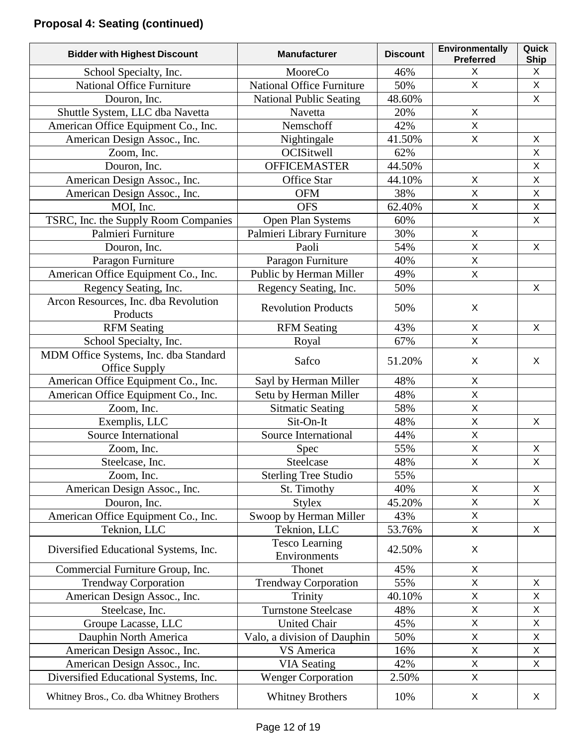| <b>Bidder with Highest Discount</b>                    | <b>Manufacturer</b>                   | <b>Discount</b> | Environmentally<br><b>Preferred</b> | Quick<br>Ship             |
|--------------------------------------------------------|---------------------------------------|-----------------|-------------------------------------|---------------------------|
| School Specialty, Inc.                                 | MooreCo                               | 46%             | X                                   | X                         |
| <b>National Office Furniture</b>                       | <b>National Office Furniture</b>      | 50%             | X                                   | $\mathsf X$               |
| Douron, Inc.                                           | <b>National Public Seating</b>        | 48.60%          |                                     | X                         |
| Shuttle System, LLC dba Navetta                        | Navetta                               | 20%             | X                                   |                           |
| American Office Equipment Co., Inc.                    | Nemschoff                             | 42%             | $\mathsf{X}$                        |                           |
| American Design Assoc., Inc.                           | Nightingale                           | 41.50%          | $\mathsf X$                         | X                         |
| Zoom, Inc.                                             | OCISitwell                            | 62%             |                                     | X                         |
| Douron, Inc.                                           | <b>OFFICEMASTER</b>                   | 44.50%          |                                     | $\mathsf{X}$              |
| American Design Assoc., Inc.                           | Office Star                           | 44.10%          | X                                   | $\mathsf X$               |
| American Design Assoc., Inc.                           | <b>OFM</b>                            | 38%             | $\mathsf X$                         | $\mathsf X$               |
| MOI, Inc.                                              | <b>OFS</b>                            | 62.40%          | $\mathsf{X}$                        | $\mathsf X$               |
| TSRC, Inc. the Supply Room Companies                   | Open Plan Systems                     | 60%             |                                     | X                         |
| Palmieri Furniture                                     | Palmieri Library Furniture            | 30%             | $\mathsf X$                         |                           |
| Douron, Inc.                                           | Paoli                                 | 54%             | $\overline{X}$                      | X                         |
| Paragon Furniture                                      | Paragon Furniture                     | 40%             | $\pmb{\times}$                      |                           |
| American Office Equipment Co., Inc.                    | Public by Herman Miller               | 49%             | $\overline{X}$                      |                           |
| Regency Seating, Inc.                                  | Regency Seating, Inc.                 | 50%             |                                     | X                         |
| Arcon Resources, Inc. dba Revolution<br>Products       | <b>Revolution Products</b>            | 50%             | X                                   |                           |
| <b>RFM</b> Seating                                     | <b>RFM</b> Seating                    | 43%             | X                                   | X                         |
| School Specialty, Inc.                                 | Royal                                 | 67%             | $\overline{X}$                      |                           |
| MDM Office Systems, Inc. dba Standard<br>Office Supply | Safco                                 | 51.20%          | X                                   | X                         |
| American Office Equipment Co., Inc.                    | Sayl by Herman Miller                 | 48%             | X                                   |                           |
| American Office Equipment Co., Inc.                    | Setu by Herman Miller                 | 48%             | $\pmb{\times}$                      |                           |
| Zoom, Inc.                                             | <b>Sitmatic Seating</b>               | 58%             | $\mathsf{X}$                        |                           |
| Exemplis, LLC                                          | Sit-On-It                             | 48%             | $\mathsf{X}$                        | X                         |
| Source International                                   | Source International                  | 44%             | $\pmb{\times}$                      |                           |
| Zoom, Inc.                                             | <b>Spec</b>                           | 55%             | $\mathsf X$                         | $\boldsymbol{\mathsf{X}}$ |
| Steelcase, Inc.                                        | Steelcase                             | 48%             | $\sf X$                             | $\mathsf X$               |
| Zoom, Inc.                                             | <b>Sterling Tree Studio</b>           | 55%             |                                     |                           |
| American Design Assoc., Inc.                           | St. Timothy                           | 40%             | $\pmb{\times}$                      | X                         |
| Douron, Inc.                                           | <b>Stylex</b>                         | 45.20%          | X                                   | X                         |
| American Office Equipment Co., Inc.                    | Swoop by Herman Miller                | 43%             | $\mathsf{X}$                        |                           |
| Teknion, LLC                                           | Teknion, LLC                          | 53.76%          | $\mathsf{X}$                        | X                         |
| Diversified Educational Systems, Inc.                  | <b>Tesco Learning</b><br>Environments | 42.50%          | X                                   |                           |
| Commercial Furniture Group, Inc.                       | Thonet                                | 45%             | X                                   |                           |
| <b>Trendway Corporation</b>                            | <b>Trendway Corporation</b>           | 55%             | X                                   | X                         |
| American Design Assoc., Inc.                           | Trinity                               | 40.10%          | $\mathsf X$                         | X                         |
| Steelcase, Inc.                                        | <b>Turnstone Steelcase</b>            | 48%             | X                                   | X                         |
| Groupe Lacasse, LLC                                    | <b>United Chair</b>                   | 45%             | $\mathsf{X}$                        | $\mathsf{X}$              |
| Dauphin North America                                  | Valo, a division of Dauphin           | 50%             | $\mathsf X$                         | $\mathsf X$               |
| American Design Assoc., Inc.                           | VS America                            | 16%             | $\mathsf{X}$                        | X                         |
| American Design Assoc., Inc.                           | <b>VIA Seating</b>                    | 42%             | $\mathsf{X}$                        | X                         |
| Diversified Educational Systems, Inc.                  | <b>Wenger Corporation</b>             | 2.50%           | X                                   |                           |
| Whitney Bros., Co. dba Whitney Brothers                | <b>Whitney Brothers</b>               | 10%             | X                                   | X                         |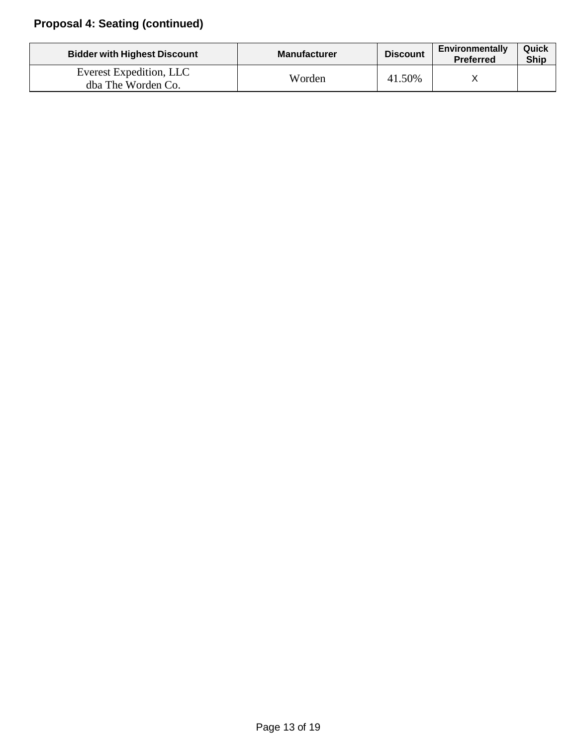# **Proposal 4: Seating (continued)**

| <b>Bidder with Highest Discount</b>           | <b>Manufacturer</b> | <b>Discount</b> | <b>Environmentally</b><br><b>Preferred</b> | Quick<br><b>Ship</b> |
|-----------------------------------------------|---------------------|-----------------|--------------------------------------------|----------------------|
| Everest Expedition, LLC<br>dba The Worden Co. | Worden              | 41.50%          |                                            |                      |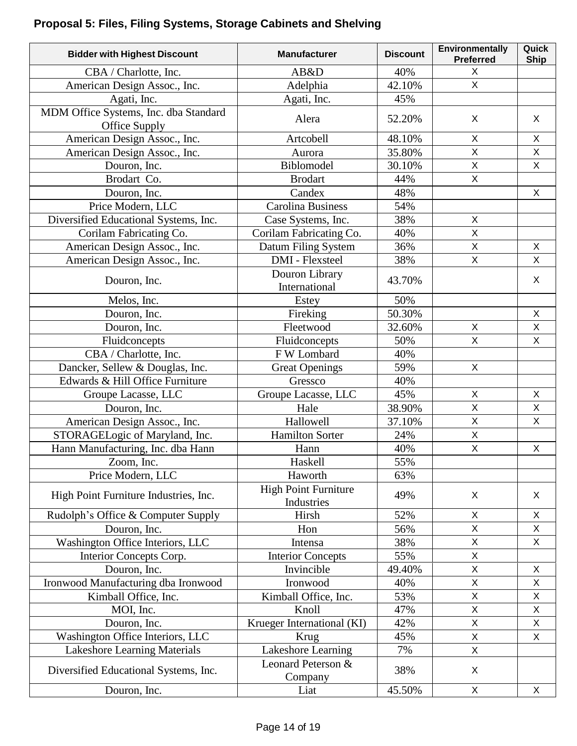# **Proposal 5: Files, Filing Systems, Storage Cabinets and Shelving**

| <b>Bidder with Highest Discount</b>                    | <b>Manufacturer</b>                       | <b>Discount</b> | Environmentally<br><b>Preferred</b> | Quick<br><b>Ship</b>      |
|--------------------------------------------------------|-------------------------------------------|-----------------|-------------------------------------|---------------------------|
| CBA / Charlotte, Inc.                                  | AB&D                                      | 40%             | X                                   |                           |
| American Design Assoc., Inc.                           | Adelphia                                  | 42.10%          | X.                                  |                           |
| Agati, Inc.                                            | Agati, Inc.                               | 45%             |                                     |                           |
| MDM Office Systems, Inc. dba Standard<br>Office Supply | Alera                                     | 52.20%          | X                                   | X                         |
| American Design Assoc., Inc.                           | Artcobell                                 | 48.10%          | X                                   | $\mathsf X$               |
| American Design Assoc., Inc.                           | Aurora                                    | 35.80%          | X                                   | $\boldsymbol{\mathsf{X}}$ |
| Douron, Inc.                                           | Biblomodel                                | 30.10%          | X                                   | X                         |
| Brodart Co.                                            | <b>Brodart</b>                            | 44%             | $\mathsf{X}% _{0}$                  |                           |
| Douron, Inc.                                           | Candex                                    | 48%             |                                     | X                         |
| Price Modern, LLC                                      | <b>Carolina Business</b>                  | 54%             |                                     |                           |
| Diversified Educational Systems, Inc.                  | Case Systems, Inc.                        | 38%             | X                                   |                           |
| Corilam Fabricating Co.                                | Corilam Fabricating Co.                   | 40%             | X                                   |                           |
| American Design Assoc., Inc.                           | Datum Filing System                       | 36%             | $\mathsf{X}$                        | X                         |
| American Design Assoc., Inc.                           | <b>DMI</b> - Flexsteel                    | 38%             | $\overline{X}$                      | $\boldsymbol{\mathsf{X}}$ |
| Douron, Inc.                                           | Douron Library<br>International           | 43.70%          |                                     | X                         |
| Melos, Inc.                                            | Estey                                     | 50%             |                                     |                           |
| Douron, Inc.                                           | Fireking                                  | 50.30%          |                                     | $\mathsf{X}$              |
| Douron, Inc.                                           | Fleetwood                                 | 32.60%          | X                                   | $\mathsf X$               |
| Fluidconcepts                                          | Fluidconcepts                             | 50%             | $\overline{X}$                      | X                         |
| CBA / Charlotte, Inc.                                  | F W Lombard                               | 40%             |                                     |                           |
| Dancker, Sellew & Douglas, Inc.                        | <b>Great Openings</b>                     | 59%             | $\mathsf{X}$                        |                           |
| Edwards & Hill Office Furniture                        | Gressco                                   | 40%             |                                     |                           |
| Groupe Lacasse, LLC                                    | Groupe Lacasse, LLC                       | 45%             | X                                   | X                         |
| Douron, Inc.                                           | Hale                                      | 38.90%          | $\overline{\mathsf{X}}$             | $\mathsf{X}$              |
| American Design Assoc., Inc.                           | Hallowell                                 | 37.10%          | $\mathsf{X}$                        | X                         |
| STORAGELogic of Maryland, Inc.                         | <b>Hamilton Sorter</b>                    | 24%             | X                                   |                           |
| Hann Manufacturing, Inc. dba Hann                      | Hann                                      | 40%             | X                                   | X                         |
| Zoom, Inc.                                             | Haskell                                   | 55%             |                                     |                           |
| Price Modern, LLC                                      | Haworth                                   | 63%             |                                     |                           |
| High Point Furniture Industries, Inc.                  | <b>High Point Furniture</b><br>Industries | 49%             | X                                   | X                         |
| Rudolph's Office & Computer Supply                     | Hirsh                                     | 52%             | X                                   | X                         |
| Douron, Inc.                                           | Hon                                       | 56%             | X                                   | X                         |
| Washington Office Interiors, LLC                       | Intensa                                   | 38%             | X                                   | X                         |
| Interior Concepts Corp.                                | <b>Interior Concepts</b>                  | 55%             | X                                   |                           |
| Douron, Inc.                                           | Invincible                                | 49.40%          | X                                   | X                         |
| Ironwood Manufacturing dba Ironwood                    | Ironwood                                  | 40%             | X                                   | X                         |
| Kimball Office, Inc.                                   | Kimball Office, Inc.                      | 53%             | X                                   | $\mathsf X$               |
| MOI, Inc.                                              | Knoll                                     | 47%             | X                                   | X                         |
| Douron, Inc.                                           | Krueger International (KI)                | 42%             | X                                   | X                         |
| Washington Office Interiors, LLC                       | Krug                                      | 45%             | $\overline{\mathsf{X}}$             | $\boldsymbol{\mathsf{X}}$ |
| Lakeshore Learning Materials                           | Lakeshore Learning                        | 7%              | X                                   |                           |
| Diversified Educational Systems, Inc.                  | Leonard Peterson &<br>Company             | 38%             | X                                   |                           |
| Douron, Inc.                                           | Liat                                      | 45.50%          | X                                   | X                         |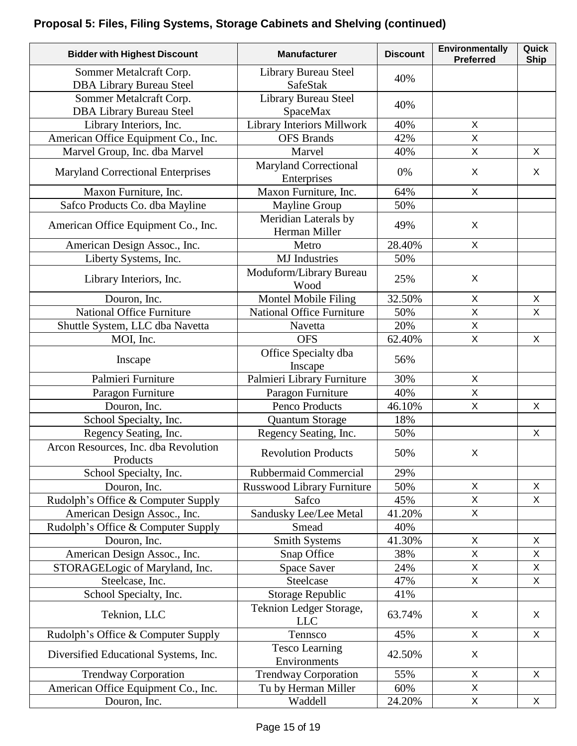# **Proposal 5: Files, Filing Systems, Storage Cabinets and Shelving (continued)**

| <b>Bidder with Highest Discount</b>                        | <b>Manufacturer</b>                   | <b>Discount</b> | Environmentally<br><b>Preferred</b> | Quick<br><b>Ship</b> |
|------------------------------------------------------------|---------------------------------------|-----------------|-------------------------------------|----------------------|
| Sommer Metalcraft Corp.<br><b>DBA Library Bureau Steel</b> | Library Bureau Steel<br>SafeStak      | 40%             |                                     |                      |
| Sommer Metalcraft Corp.<br><b>DBA Library Bureau Steel</b> | Library Bureau Steel<br>SpaceMax      | 40%             |                                     |                      |
| Library Interiors, Inc.                                    | Library Interiors Millwork            | 40%             | X                                   |                      |
| American Office Equipment Co., Inc.                        | <b>OFS</b> Brands                     | 42%             | $\overline{\mathsf{X}}$             |                      |
| Marvel Group, Inc. dba Marvel                              | Marvel                                | 40%             | $\mathsf{X}$                        | X                    |
| <b>Maryland Correctional Enterprises</b>                   | Maryland Correctional<br>Enterprises  | 0%              | X                                   | X                    |
| Maxon Furniture, Inc.                                      | Maxon Furniture, Inc.                 | 64%             | $\mathsf{X}$                        |                      |
| Safco Products Co. dba Mayline                             | <b>Mayline Group</b>                  | 50%             |                                     |                      |
| American Office Equipment Co., Inc.                        | Meridian Laterals by<br>Herman Miller | 49%             | X                                   |                      |
| American Design Assoc., Inc.                               | Metro                                 | 28.40%          | $\pmb{\times}$                      |                      |
| Liberty Systems, Inc.                                      | <b>MJ</b> Industries                  | 50%             |                                     |                      |
| Library Interiors, Inc.                                    | Moduform/Library Bureau<br>Wood       | 25%             | X                                   |                      |
| Douron, Inc.                                               | Montel Mobile Filing                  | 32.50%          | X                                   | X                    |
| <b>National Office Furniture</b>                           | <b>National Office Furniture</b>      | 50%             | X                                   | $\mathsf{X}$         |
| Shuttle System, LLC dba Navetta                            | Navetta                               | 20%             | X                                   |                      |
| MOI, Inc.                                                  | <b>OFS</b>                            | 62.40%          | X                                   | X                    |
| Inscape                                                    | Office Specialty dba<br>Inscape       | 56%             |                                     |                      |
| Palmieri Furniture                                         | Palmieri Library Furniture            | 30%             | $\pmb{\times}$                      |                      |
| Paragon Furniture                                          | Paragon Furniture                     | 40%             | $\overline{\mathsf{X}}$             |                      |
| Douron, Inc.                                               | Penco Products                        | 46.10%          | X                                   | X                    |
| School Specialty, Inc.                                     | <b>Quantum Storage</b>                | 18%             |                                     |                      |
| Regency Seating, Inc.                                      | Regency Seating, Inc.                 | 50%             |                                     | X                    |
| Arcon Resources, Inc. dba Revolution<br>Products           | <b>Revolution Products</b>            | 50%             | X                                   |                      |
| School Specialty, Inc.                                     | <b>Rubbermaid Commercial</b>          | 29%             |                                     |                      |
| Douron, Inc.                                               | Russwood Library Furniture            | 50%             | X                                   | X                    |
| Rudolph's Office & Computer Supply                         | Safco                                 | 45%             | X                                   | X                    |
| American Design Assoc., Inc.                               | Sandusky Lee/Lee Metal                | 41.20%          | X                                   |                      |
| Rudolph's Office & Computer Supply                         | Smead                                 | 40%             |                                     |                      |
| Douron, Inc.                                               | <b>Smith Systems</b>                  | 41.30%          | X                                   | X                    |
| American Design Assoc., Inc.                               | Snap Office                           | 38%             | X                                   | X                    |
| STORAGELogic of Maryland, Inc.                             | <b>Space Saver</b>                    | 24%             | X                                   | X                    |
| Steelcase, Inc.                                            | Steelcase                             | 47%             | $\mathsf{X}$                        | $\pmb{\times}$       |
| School Specialty, Inc.                                     | Storage Republic                      | 41%             |                                     |                      |
| Teknion, LLC                                               | Teknion Ledger Storage,<br><b>LLC</b> | 63.74%          | X                                   | X                    |
| Rudolph's Office & Computer Supply                         | Tennsco                               | 45%             | X                                   | X                    |
| Diversified Educational Systems, Inc.                      | <b>Tesco Learning</b><br>Environments | 42.50%          | X                                   |                      |
| <b>Trendway Corporation</b>                                | <b>Trendway Corporation</b>           | 55%             | $\pmb{\times}$                      | X                    |
| American Office Equipment Co., Inc.                        | Tu by Herman Miller                   | 60%             | X                                   |                      |
| Douron, Inc.                                               | Waddell                               | 24.20%          | X                                   | X                    |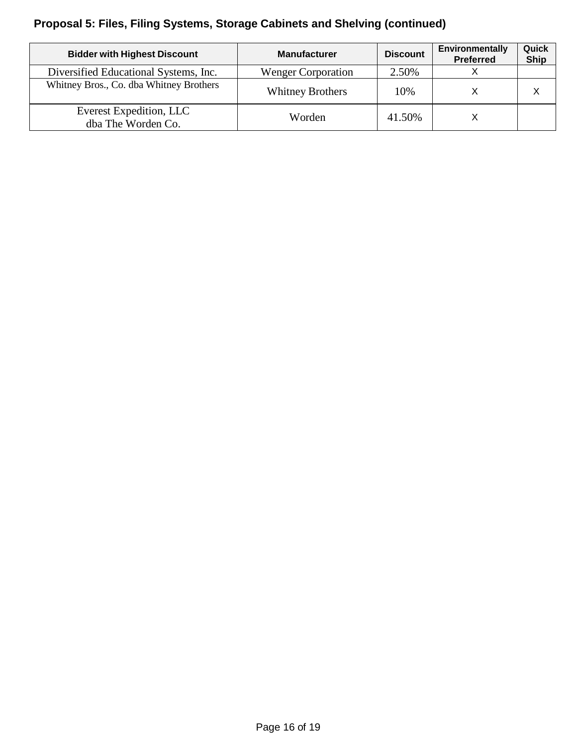# **Proposal 5: Files, Filing Systems, Storage Cabinets and Shelving (continued)**

| <b>Bidder with Highest Discount</b>           | <b>Manufacturer</b>       | <b>Discount</b> | <b>Environmentally</b><br><b>Preferred</b> | Quick<br><b>Ship</b> |
|-----------------------------------------------|---------------------------|-----------------|--------------------------------------------|----------------------|
| Diversified Educational Systems, Inc.         | <b>Wenger Corporation</b> | 2.50%           |                                            |                      |
| Whitney Bros., Co. dba Whitney Brothers       | <b>Whitney Brothers</b>   | 10%             |                                            |                      |
| Everest Expedition, LLC<br>dba The Worden Co. | Worden                    | 41.50%          |                                            |                      |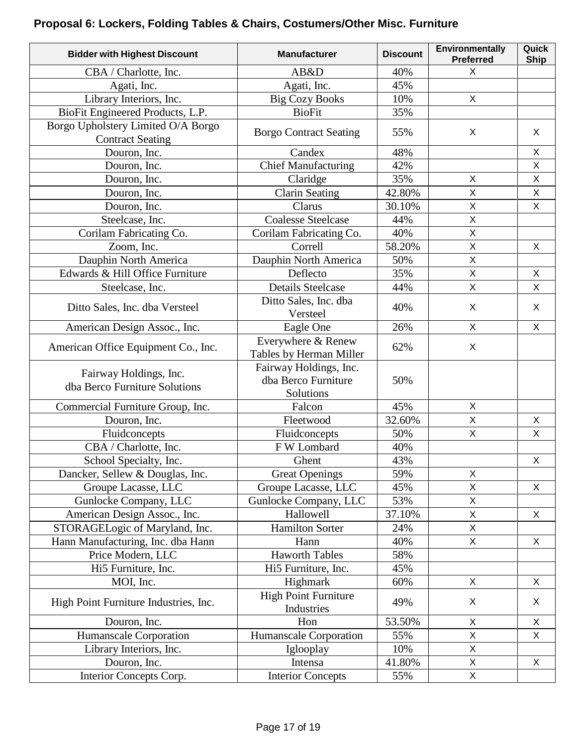# **Proposal 6: Lockers, Folding Tables & Chairs, Costumers/Other Misc. Furniture**

| <b>Bidder with Highest Discount</b>                           | <b>Manufacturer</b>                                        | <b>Discount</b> | Environmentally<br><b>Preferred</b> | Quick<br><b>Ship</b> |
|---------------------------------------------------------------|------------------------------------------------------------|-----------------|-------------------------------------|----------------------|
| CBA / Charlotte, Inc.                                         | AB&D                                                       | 40%             | X                                   |                      |
| Agati, Inc.                                                   | Agati, Inc.                                                | 45%             |                                     |                      |
| Library Interiors, Inc.                                       | <b>Big Cozy Books</b>                                      | 10%             | X                                   |                      |
| BioFit Engineered Products, L.P.                              | <b>BioFit</b>                                              | 35%             |                                     |                      |
| Borgo Upholstery Limited O/A Borgo<br><b>Contract Seating</b> | <b>Borgo Contract Seating</b>                              | 55%             | $\chi$                              | X                    |
| Douron, Inc.                                                  | Candex                                                     | 48%             |                                     | $\mathsf{X}$         |
| Douron, Inc.                                                  | <b>Chief Manufacturing</b>                                 | 42%             |                                     | $\mathsf{X}$         |
| Douron, Inc.                                                  | Claridge                                                   | 35%             | $\pmb{\times}$                      | $\pmb{\times}$       |
| Douron, Inc.                                                  | <b>Clarin Seating</b>                                      | 42.80%          | $\pmb{\times}$                      | X                    |
| Douron, Inc.                                                  | Clarus                                                     | 30.10%          | $\mathsf X$                         | X                    |
| Steelcase, Inc.                                               | <b>Coalesse Steelcase</b>                                  | 44%             | X                                   |                      |
| Corilam Fabricating Co.                                       | Corilam Fabricating Co.                                    | 40%             | X                                   |                      |
| Zoom, Inc.                                                    | Correll                                                    | 58.20%          | $\mathsf{X}$                        | X                    |
| Dauphin North America                                         | Dauphin North America                                      | 50%             | X                                   |                      |
| Edwards & Hill Office Furniture                               | Deflecto                                                   | 35%             | $\mathsf{X}$                        | X                    |
| Steelcase, Inc.                                               | <b>Details Steelcase</b>                                   | 44%             | $\mathsf{X}$                        | $\mathsf{X}$         |
| Ditto Sales, Inc. dba Versteel                                | Ditto Sales, Inc. dba<br>Versteel                          | 40%             | X                                   | X                    |
| American Design Assoc., Inc.                                  | Eagle One                                                  | 26%             | X                                   | X                    |
| American Office Equipment Co., Inc.                           | Everywhere & Renew<br>Tables by Herman Miller              | 62%             | X                                   |                      |
| Fairway Holdings, Inc.<br>dba Berco Furniture Solutions       | Fairway Holdings, Inc.<br>dba Berco Furniture<br>Solutions | 50%             |                                     |                      |
| Commercial Furniture Group, Inc.                              | Falcon                                                     | 45%             | X                                   |                      |
| Douron, Inc.                                                  | Fleetwood                                                  | 32.60%          | $\mathsf{X}$                        | X                    |
| Fluidconcepts                                                 | Fluidconcepts                                              | 50%             | $\mathsf{X}$                        | $\pmb{\times}$       |
| CBA / Charlotte, Inc.                                         | F W Lombard                                                | 40%             |                                     |                      |
| School Specialty, Inc.                                        | Ghent                                                      | 43%             |                                     | X                    |
| Dancker, Sellew & Douglas, Inc.                               | <b>Great Openings</b>                                      | 59%             | X                                   |                      |
| Groupe Lacasse, LLC                                           | Groupe Lacasse, LLC                                        | 45%             | X                                   | X                    |
| Gunlocke Company, LLC                                         | Gunlocke Company, LLC                                      | 53%             | $\mathsf{X}$                        |                      |
| American Design Assoc., Inc.                                  | Hallowell                                                  | 37.10%          | X                                   | X                    |
| STORAGELogic of Maryland, Inc.                                | <b>Hamilton Sorter</b>                                     | 24%             | $\mathsf{X}$                        |                      |
| Hann Manufacturing, Inc. dba Hann                             | Hann                                                       | 40%             | $\mathsf{X}$                        | X                    |
| Price Modern, LLC                                             | <b>Haworth Tables</b>                                      | 58%             |                                     |                      |
| Hi5 Furniture, Inc.                                           | Hi5 Furniture, Inc.                                        | 45%             |                                     |                      |
| MOI, Inc.                                                     | Highmark                                                   | 60%             | X                                   | X                    |
| High Point Furniture Industries, Inc.                         | <b>High Point Furniture</b><br>Industries                  | 49%             | X                                   | X                    |
| Douron, Inc.                                                  | Hon                                                        | 53.50%          | X                                   | X                    |
| Humanscale Corporation                                        | Humanscale Corporation                                     | 55%             | $\mathsf{X}$                        | $\mathsf{X}$         |
| Library Interiors, Inc.                                       | Iglooplay                                                  | 10%             | $\mathsf X$                         |                      |
| Douron, Inc.                                                  | Intensa                                                    | 41.80%          | $\mathsf{X}$                        | X                    |
| Interior Concepts Corp.                                       | <b>Interior Concepts</b>                                   | 55%             | $\pmb{\times}$                      |                      |
|                                                               |                                                            |                 |                                     |                      |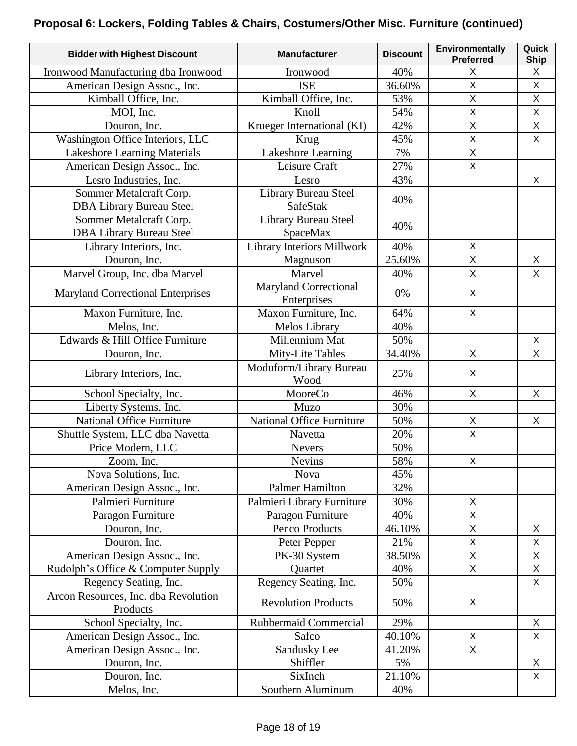### **Proposal 6: Lockers, Folding Tables & Chairs, Costumers/Other Misc. Furniture (continued)**

| <b>Bidder with Highest Discount</b>              | <b>Manufacturer</b>              | <b>Discount</b> | Environmentally<br><b>Preferred</b> | Quick<br><b>Ship</b> |
|--------------------------------------------------|----------------------------------|-----------------|-------------------------------------|----------------------|
| Ironwood Manufacturing dba Ironwood              | Ironwood                         | 40%             | X                                   | X                    |
| American Design Assoc., Inc.                     | <b>ISE</b>                       | 36.60%          | $\mathsf{X}$                        | $\mathsf{X}$         |
| Kimball Office, Inc.                             | Kimball Office, Inc.             | 53%             | $\mathsf X$                         | $\mathsf X$          |
| MOI, Inc.                                        | Knoll                            | 54%             | $\mathsf{X}$                        | $\mathsf{X}$         |
| Douron, Inc.                                     | Krueger International (KI)       | 42%             | $\mathsf X$                         | $\mathsf X$          |
| Washington Office Interiors, LLC                 | Krug                             | 45%             | $\mathsf X$                         | $\pmb{\times}$       |
| Lakeshore Learning Materials                     | Lakeshore Learning               | 7%              | $\mathsf{X}$                        |                      |
| American Design Assoc., Inc.                     | Leisure Craft                    | 27%             | X                                   |                      |
| Lesro Industries, Inc.                           | Lesro                            | 43%             |                                     | X                    |
| Sommer Metalcraft Corp.                          | Library Bureau Steel             | 40%             |                                     |                      |
| <b>DBA Library Bureau Steel</b>                  | <b>SafeStak</b>                  |                 |                                     |                      |
| Sommer Metalcraft Corp.                          | Library Bureau Steel             | 40%             |                                     |                      |
| <b>DBA Library Bureau Steel</b>                  | SpaceMax                         |                 |                                     |                      |
| Library Interiors, Inc.                          | Library Interiors Millwork       | 40%             | $\mathsf{X}$                        |                      |
| Douron, Inc.                                     | Magnuson                         | 25.60%          | X                                   | X                    |
| Marvel Group, Inc. dba Marvel                    | Marvel                           | 40%             | $\mathsf{X}$                        | X                    |
| <b>Maryland Correctional Enterprises</b>         | <b>Maryland Correctional</b>     | 0%              | X                                   |                      |
|                                                  | Enterprises                      |                 |                                     |                      |
| Maxon Furniture, Inc.                            | Maxon Furniture, Inc.            | 64%             | $\mathsf{X}$                        |                      |
| Melos, Inc.                                      | Melos Library                    | 40%             |                                     |                      |
| Edwards & Hill Office Furniture                  | Millennium Mat                   | 50%             |                                     | X                    |
| Douron, Inc.                                     | Mity-Lite Tables                 | 34.40%          | $\mathsf{X}$                        | $\mathsf{X}$         |
| Library Interiors, Inc.                          | Moduform/Library Bureau<br>Wood  | 25%             | X                                   |                      |
| School Specialty, Inc.                           | MooreCo                          | 46%             | X                                   | X                    |
| Liberty Systems, Inc.                            | Muzo                             | 30%             |                                     |                      |
| National Office Furniture                        | <b>National Office Furniture</b> | 50%             | $\mathsf{X}$                        | $\mathsf{X}$         |
| Shuttle System, LLC dba Navetta                  | Navetta                          | 20%             | $\mathsf{X}$                        |                      |
| Price Modern, LLC                                | <b>Nevers</b>                    | 50%             |                                     |                      |
| Zoom, Inc.                                       | <b>Nevins</b>                    | 58%             | $\mathsf X$                         |                      |
| Nova Solutions, Inc.                             | Nova                             | 45%             |                                     |                      |
| American Design Assoc., Inc.                     | <b>Palmer Hamilton</b>           | 32%             |                                     |                      |
| Palmieri Furniture                               | Palmieri Library Furniture       | 30%             | X                                   |                      |
| Paragon Furniture                                | Paragon Furniture                | 40%             | $\mathsf{X}$                        |                      |
| Douron, Inc.                                     | Penco Products                   | 46.10%          | $\mathsf X$                         | X                    |
| Douron, Inc.                                     | Peter Pepper                     | 21%             | X                                   | X                    |
| American Design Assoc., Inc.                     | PK-30 System                     | 38.50%          | $\mathsf{X}$                        | $\mathsf{X}$         |
| Rudolph's Office & Computer Supply               | Quartet                          | 40%             | $\mathsf X$                         | $\mathsf X$          |
| Regency Seating, Inc.                            | Regency Seating, Inc.            | 50%             |                                     | $\mathsf{X}$         |
| Arcon Resources, Inc. dba Revolution<br>Products | <b>Revolution Products</b>       | 50%             | X                                   |                      |
| School Specialty, Inc.                           | Rubbermaid Commercial            | 29%             |                                     | X                    |
| American Design Assoc., Inc.                     | Safco                            | 40.10%          | X                                   | X                    |
| American Design Assoc., Inc.                     | Sandusky Lee                     | 41.20%          | $\mathsf{X}$                        |                      |
| Douron, Inc.                                     | Shiffler                         | 5%              |                                     | $\mathsf{X}$         |
| Douron, Inc.                                     | SixInch                          | 21.10%          |                                     | X                    |
| Melos, Inc.                                      | Southern Aluminum                | 40%             |                                     |                      |